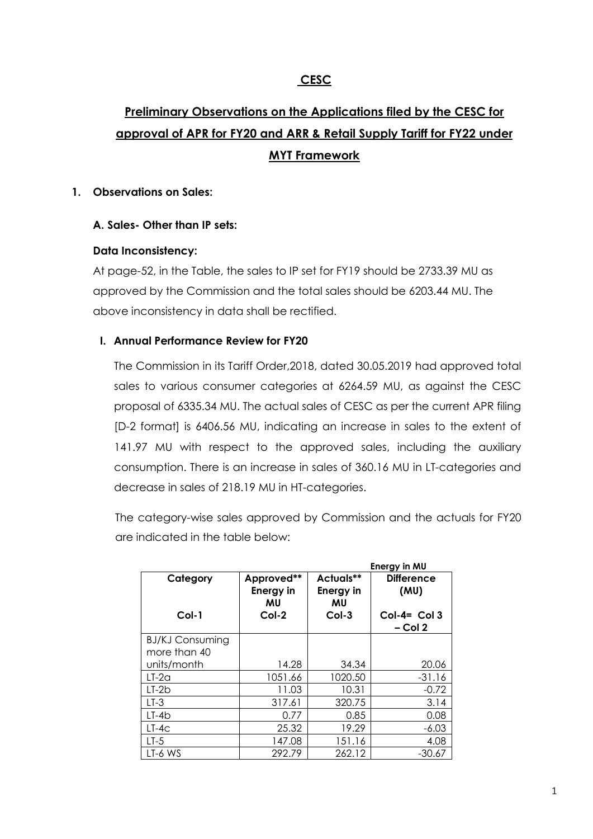## **CESC**

# **Preliminary Observations on the Applications filed by the CESC for approval of APR for FY20 and ARR & Retail Supply Tariff for FY22 under MYT Framework**

### **1. Observations on Sales:**

## **A. Sales- Other than IP sets:**

### **Data Inconsistency:**

At page-52, in the Table, the sales to IP set for FY19 should be 2733.39 MU as approved by the Commission and the total sales should be 6203.44 MU. The above inconsistency in data shall be rectified.

### **I. Annual Performance Review for FY20**

The Commission in its Tariff Order,2018, dated 30.05.2019 had approved total sales to various consumer categories at 6264.59 MU, as against the CESC proposal of 6335.34 MU. The actual sales of CESC as per the current APR filing [D-2 format] is 6406.56 MU, indicating an increase in sales to the extent of 141.97 MU with respect to the approved sales, including the auxiliary consumption. There is an increase in sales of 360.16 MU in LT-categories and decrease in sales of 218.19 MU in HT-categories.

The category-wise sales approved by Commission and the actuals for FY20 are indicated in the table below:

|                                        |                                                 |                                                | Energy in MU                                             |
|----------------------------------------|-------------------------------------------------|------------------------------------------------|----------------------------------------------------------|
| Category<br>Col-1                      | Approved**<br><b>Energy in</b><br>MU<br>$Col-2$ | Actuals**<br><b>Energy in</b><br>MU<br>$Col-3$ | <b>Difference</b><br>(MU)<br>$Col-4 = Col3$<br>$-$ Col 2 |
| <b>BJ/KJ Consuming</b><br>more than 40 |                                                 |                                                |                                                          |
| units/month                            | 14.28                                           | 34.34                                          | 20.06                                                    |
| $LT-2a$                                | 1051.66                                         | 1020.50                                        | $-31.16$                                                 |
| $LT-2b$                                | 11.03                                           | 10.31                                          | $-0.72$                                                  |
| $LT-3$                                 | 317.61                                          | 320.75                                         | 3.14                                                     |
| LT-4b                                  | 0.77                                            | 0.85                                           | 0.08                                                     |
| $LT-4C$                                | 25.32                                           | 19.29                                          | $-6.03$                                                  |
| $LT-5$                                 | 147.08                                          | 151.16                                         | 4.08                                                     |
| LT-6 WS                                | 292.79                                          | 262.12                                         | $-30.67$                                                 |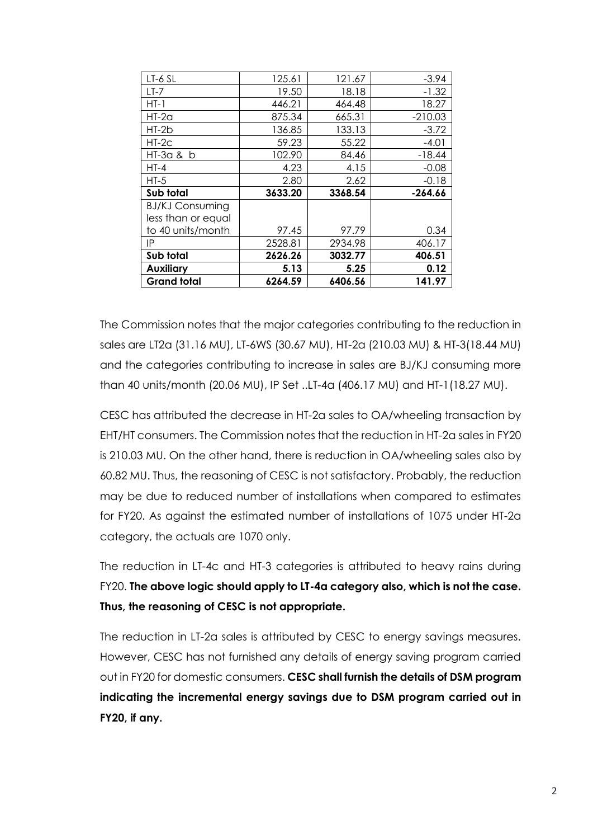| LT-6 SL                | 125.61  | 121.67  | $-3.94$   |
|------------------------|---------|---------|-----------|
| $LT-7$                 | 19.50   | 18.18   | $-1.32$   |
| $HT-1$                 | 446.21  | 464.48  | 18.27     |
| $HT-2a$                | 875.34  | 665.31  | $-210.03$ |
| HT-2b                  | 136.85  | 133.13  | $-3.72$   |
| $HT-2C$                | 59.23   | 55.22   | $-4.01$   |
| $HT-3a$ & $b$          | 102.90  | 84.46   | $-18.44$  |
| $HT-4$                 | 4.23    | 4.15    | $-0.08$   |
| $HT-5$                 | 2.80    | 2.62    | $-0.18$   |
| Sub total              | 3633.20 | 3368.54 | $-264.66$ |
| <b>BJ/KJ Consuming</b> |         |         |           |
| less than or equal     |         |         |           |
| to 40 units/month      | 97.45   | 97.79   | 0.34      |
| IP                     | 2528.81 | 2934.98 | 406.17    |
| Sub total              | 2626.26 | 3032.77 | 406.51    |
| <b>Auxiliary</b>       | 5.13    | 5.25    | 0.12      |
| <b>Grand total</b>     | 6264.59 | 6406.56 | 141.97    |

The Commission notes that the major categories contributing to the reduction in sales are LT2a (31.16 MU), LT-6WS (30.67 MU), HT-2a (210.03 MU) & HT-3(18.44 MU) and the categories contributing to increase in sales are BJ/KJ consuming more than 40 units/month (20.06 MU), IP Set ..LT-4a (406.17 MU) and HT-1(18.27 MU).

CESC has attributed the decrease in HT-2a sales to OA/wheeling transaction by EHT/HT consumers. The Commission notes that the reduction in HT-2a sales in FY20 is 210.03 MU. On the other hand, there is reduction in OA/wheeling sales also by 60.82 MU. Thus, the reasoning of CESC is not satisfactory. Probably, the reduction may be due to reduced number of installations when compared to estimates for FY20. As against the estimated number of installations of 1075 under HT-2a category, the actuals are 1070 only.

The reduction in LT-4c and HT-3 categories is attributed to heavy rains during FY20. **The above logic should apply to LT-4a category also, which is not the case. Thus, the reasoning of CESC is not appropriate.**

The reduction in LT-2a sales is attributed by CESC to energy savings measures. However, CESC has not furnished any details of energy saving program carried out in FY20 for domestic consumers. **CESC shall furnish the details of DSM program indicating the incremental energy savings due to DSM program carried out in FY20, if any.**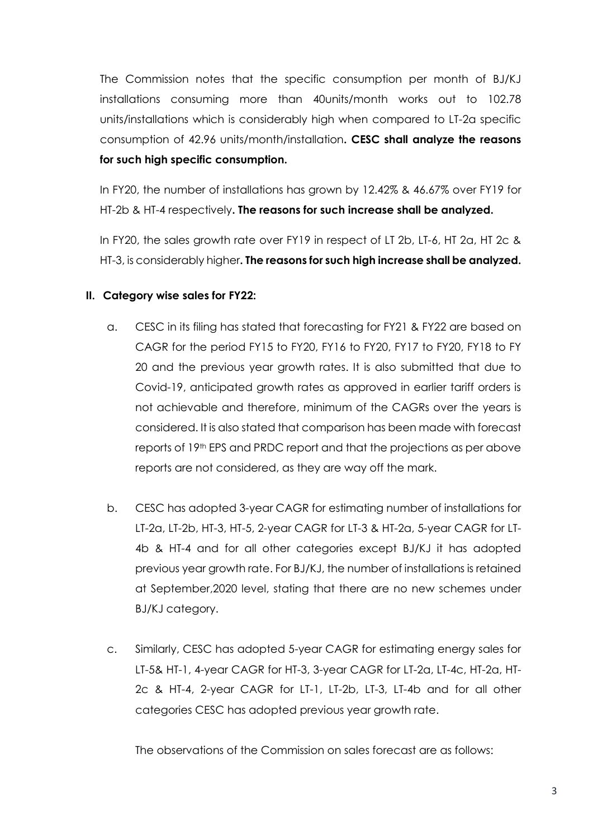The Commission notes that the specific consumption per month of BJ/KJ installations consuming more than 40units/month works out to 102.78 units/installations which is considerably high when compared to LT-2a specific consumption of 42.96 units/month/installation**. CESC shall analyze the reasons for such high specific consumption.**

In FY20, the number of installations has grown by 12.42% & 46.67% over FY19 for HT-2b & HT-4 respectively**. The reasons for such increase shall be analyzed.**

In FY20, the sales growth rate over FY19 in respect of LT 2b, LT-6, HT 2a, HT 2c & HT-3, is considerably higher**. The reasons for such high increase shall be analyzed.**

### **II. Category wise sales for FY22:**

- a. CESC in its filing has stated that forecasting for FY21 & FY22 are based on CAGR for the period FY15 to FY20, FY16 to FY20, FY17 to FY20, FY18 to FY 20 and the previous year growth rates. It is also submitted that due to Covid-19, anticipated growth rates as approved in earlier tariff orders is not achievable and therefore, minimum of the CAGRs over the years is considered. It is also stated that comparison has been made with forecast reports of 19th EPS and PRDC report and that the projections as per above reports are not considered, as they are way off the mark.
- b. CESC has adopted 3-year CAGR for estimating number of installations for LT-2a, LT-2b, HT-3, HT-5, 2-year CAGR for LT-3 & HT-2a, 5-year CAGR for LT-4b & HT-4 and for all other categories except BJ/KJ it has adopted previous year growth rate. For BJ/KJ, the number of installations is retained at September,2020 level, stating that there are no new schemes under BJ/KJ category.
- c. Similarly, CESC has adopted 5-year CAGR for estimating energy sales for LT-5& HT-1, 4-year CAGR for HT-3, 3-year CAGR for LT-2a, LT-4c, HT-2a, HT-2c & HT-4, 2-year CAGR for LT-1, LT-2b, LT-3, LT-4b and for all other categories CESC has adopted previous year growth rate.

The observations of the Commission on sales forecast are as follows: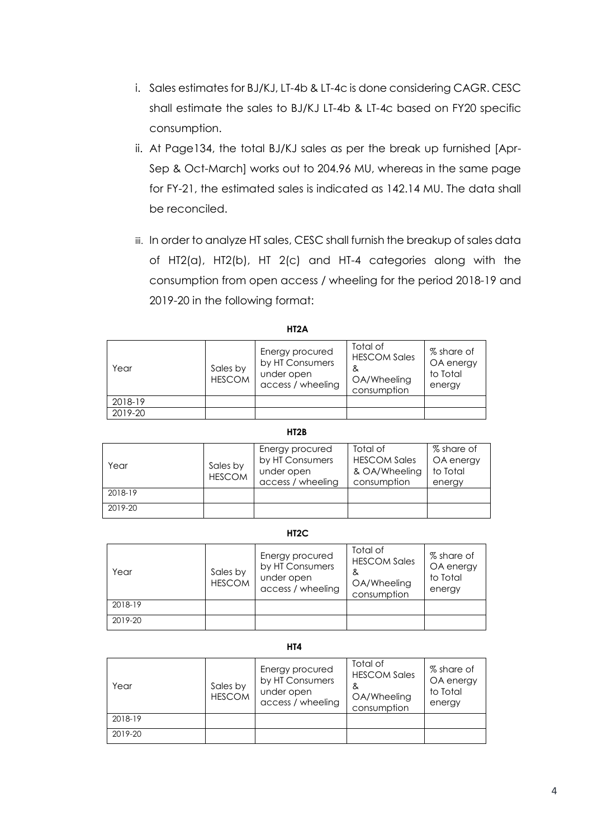- i. Sales estimates for BJ/KJ, LT-4b & LT-4c is done considering CAGR. CESC shall estimate the sales to BJ/KJ LT-4b & LT-4c based on FY20 specific consumption.
- ii. At Page134, the total BJ/KJ sales as per the break up furnished [Apr-Sep & Oct-March] works out to 204.96 MU, whereas in the same page for FY-21, the estimated sales is indicated as 142.14 MU. The data shall be reconciled.
- iii. In order to analyze HT sales, CESC shall furnish the breakup of sales data of HT2(a), HT2(b), HT 2(c) and HT-4 categories along with the consumption from open access / wheeling for the period 2018-19 and 2019-20 in the following format:

| Year    | Sales by<br><b>HESCOM</b> | Energy procured<br>by HT Consumers<br>under open<br>access / wheeling | Total of<br><b>HESCOM Sales</b><br>&<br>OA/Wheeling<br>consumption | % share of<br>OA energy<br>to Total<br>energy |
|---------|---------------------------|-----------------------------------------------------------------------|--------------------------------------------------------------------|-----------------------------------------------|
| 2018-19 |                           |                                                                       |                                                                    |                                               |
| 2019-20 |                           |                                                                       |                                                                    |                                               |

|--|

#### **HT2B**

| Year    | Sales by<br><b>HESCOM</b> | Energy procured<br>by HT Consumers<br>under open<br>access / wheeling | Total of<br><b>HESCOM Sales</b><br>& OA/Wheeling<br>consumption | % share of<br>OA energy<br>to Total<br>energy |
|---------|---------------------------|-----------------------------------------------------------------------|-----------------------------------------------------------------|-----------------------------------------------|
| 2018-19 |                           |                                                                       |                                                                 |                                               |
| 2019-20 |                           |                                                                       |                                                                 |                                               |

#### **HT2C**

| Year    | Sales by<br><b>HESCOM</b> | Energy procured<br>by HT Consumers<br>under open<br>access / wheeling | Total of<br><b>HESCOM Sales</b><br>&<br>OA/Wheeling<br>consumption | % share of<br>OA energy<br>to Total<br>energy |
|---------|---------------------------|-----------------------------------------------------------------------|--------------------------------------------------------------------|-----------------------------------------------|
| 2018-19 |                           |                                                                       |                                                                    |                                               |
| 2019-20 |                           |                                                                       |                                                                    |                                               |

#### **HT4**

| Year    | Sales by<br><b>HESCOM</b> | Energy procured<br>by HT Consumers<br>under open<br>access / wheeling | Total of<br><b>HESCOM Sales</b><br>&<br>OA/Wheeling<br>consumption | % share of<br>OA energy<br>to Total<br>energy |
|---------|---------------------------|-----------------------------------------------------------------------|--------------------------------------------------------------------|-----------------------------------------------|
| 2018-19 |                           |                                                                       |                                                                    |                                               |
| 2019-20 |                           |                                                                       |                                                                    |                                               |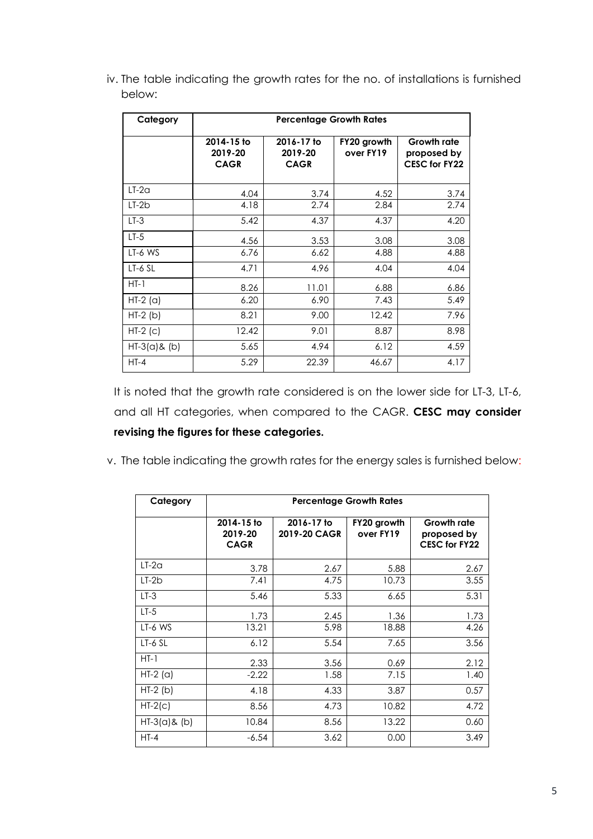iv. The table indicating the growth rates for the no. of installations is furnished below:

| Category        | <b>Percentage Growth Rates</b>       |                                      |                          |                                                           |  |  |  |
|-----------------|--------------------------------------|--------------------------------------|--------------------------|-----------------------------------------------------------|--|--|--|
|                 | 2014-15 to<br>2019-20<br><b>CAGR</b> | 2016-17 to<br>2019-20<br><b>CAGR</b> | FY20 growth<br>over FY19 | <b>Growth rate</b><br>proposed by<br><b>CESC for FY22</b> |  |  |  |
| $LT-2a$         | 4.04                                 | 3.74                                 | 4.52                     | 3.74                                                      |  |  |  |
| $LT-2b$         | 4.18                                 | 2.74                                 | 2.84                     | 2.74                                                      |  |  |  |
| $LT-3$          | 5.42                                 | 4.37                                 | 4.37                     | 4.20                                                      |  |  |  |
| $LT-5$          | 4.56                                 | 3.53                                 | 3.08                     | 3.08                                                      |  |  |  |
| LT-6 WS         | 6.76                                 | 6.62                                 | 4.88                     | 4.88                                                      |  |  |  |
| $LT-6$ SL       | 4.71                                 | 4.96                                 | 4.04                     | 4.04                                                      |  |  |  |
| $HT-1$          | 8.26                                 | 11.01                                | 6.88                     | 6.86                                                      |  |  |  |
| $HT-2$ (a)      | 6.20                                 | 6.90                                 | 7.43                     | 5.49                                                      |  |  |  |
| $HT-2(b)$       | 8.21                                 | 9.00                                 | 12.42                    | 7.96                                                      |  |  |  |
| $HT-2$ (c)      | 12.42                                | 9.01                                 | 8.87                     | 8.98                                                      |  |  |  |
| $HT-3(a)$ & (b) | 5.65                                 | 4.94                                 | 6.12                     | 4.59                                                      |  |  |  |
| $HT-4$          | 5.29                                 | 22.39                                | 46.67                    | 4.17                                                      |  |  |  |

It is noted that the growth rate considered is on the lower side for LT-3, LT-6, and all HT categories, when compared to the CAGR. **CESC may consider revising the figures for these categories.**

v. The table indicating the growth rates for the energy sales is furnished below:

| Category        | <b>Percentage Growth Rates</b>       |                            |                          |                                                    |  |  |  |
|-----------------|--------------------------------------|----------------------------|--------------------------|----------------------------------------------------|--|--|--|
|                 | 2014-15 to<br>2019-20<br><b>CAGR</b> | 2016-17 to<br>2019-20 CAGR | FY20 growth<br>over FY19 | Growth rate<br>proposed by<br><b>CESC for FY22</b> |  |  |  |
| $LT-2a$         | 3.78                                 | 2.67                       | 5.88                     | 2.67                                               |  |  |  |
| $LT-2b$         | 7.41                                 | 4.75                       | 10.73                    | 3.55                                               |  |  |  |
| $LT-3$          | 5.46                                 | 5.33                       | 6.65                     | 5.31                                               |  |  |  |
| $LT-5$          | 1.73                                 | 2.45                       | 1.36                     | 1.73                                               |  |  |  |
| LT-6 WS         | 13.21                                | 5.98                       | 18.88                    | 4.26                                               |  |  |  |
| $LT-6$ SL       | 6.12                                 | 5.54                       | 7.65                     | 3.56                                               |  |  |  |
| $HT-1$          | 2.33                                 | 3.56                       | 0.69                     | 2.12                                               |  |  |  |
| $HT-2$ (a)      | $-2.22$                              | 1.58                       | 7.15                     | 1.40                                               |  |  |  |
| $HT-2(b)$       | 4.18                                 | 4.33                       | 3.87                     | 0.57                                               |  |  |  |
| $HT-2(c)$       | 8.56                                 | 4.73                       | 10.82                    | 4.72                                               |  |  |  |
| $HT-3(a)$ & (b) | 10.84                                | 8.56                       | 13.22                    | 0.60                                               |  |  |  |
| $HT-4$          | $-6.54$                              | 3.62                       | 0.00                     | 3.49                                               |  |  |  |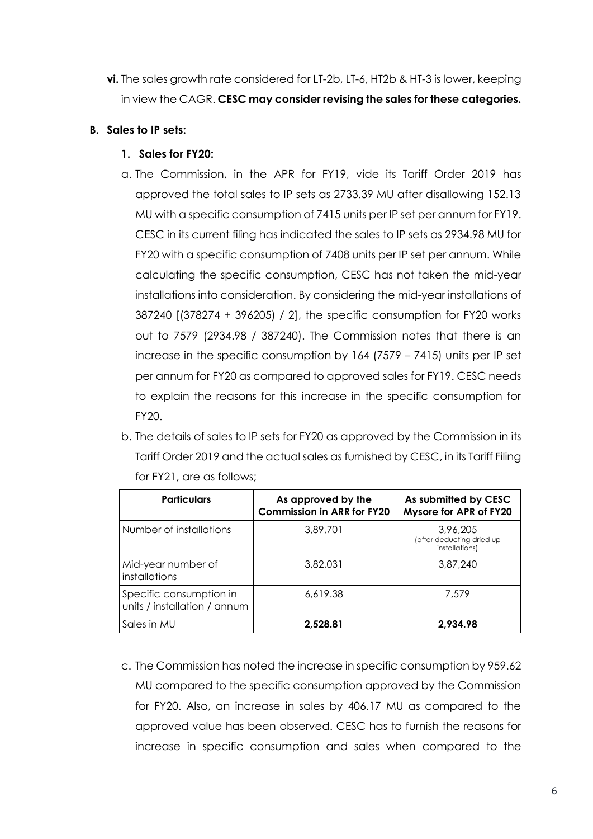**vi.** The sales growth rate considered for LT-2b, LT-6, HT2b & HT-3 is lower, keeping in view the CAGR. **CESC may consider revising the sales for these categories.**

#### **B. Sales to IP sets:**

### **1. Sales for FY20:**

- a. The Commission, in the APR for FY19, vide its Tariff Order 2019 has approved the total sales to IP sets as 2733.39 MU after disallowing 152.13 MU with a specific consumption of 7415 units per IP set per annum for FY19. CESC in its current filing has indicated the sales to IP sets as 2934.98 MU for FY20 with a specific consumption of 7408 units per IP set per annum. While calculating the specific consumption, CESC has not taken the mid-year installations into consideration. By considering the mid-year installations of 387240 [(378274 + 396205) / 2], the specific consumption for FY20 works out to 7579 (2934.98 / 387240). The Commission notes that there is an increase in the specific consumption by 164 (7579 – 7415) units per IP set per annum for FY20 as compared to approved sales for FY19. CESC needs to explain the reasons for this increase in the specific consumption for FY20.
- b. The details of sales to IP sets for FY20 as approved by the Commission in its Tariff Order 2019 and the actual sales as furnished by CESC, in its Tariff Filing for FY21, are as follows;

| <b>Particulars</b>                                      | As approved by the<br><b>Commission in ARR for FY20</b> | As submitted by CESC<br>Mysore for APR of FY20          |
|---------------------------------------------------------|---------------------------------------------------------|---------------------------------------------------------|
| Number of installations                                 | 3,89,701                                                | 3,96,205<br>(after deducting dried up<br>installations) |
| Mid-year number of<br>installations                     | 3,82,031                                                | 3,87,240                                                |
| Specific consumption in<br>units / installation / annum | 6,619.38                                                | 7.579                                                   |
| Sales in MU                                             | 2,528.81                                                | 2,934.98                                                |

c. The Commission has noted the increase in specific consumption by 959.62 MU compared to the specific consumption approved by the Commission for FY20. Also, an increase in sales by 406.17 MU as compared to the approved value has been observed. CESC has to furnish the reasons for increase in specific consumption and sales when compared to the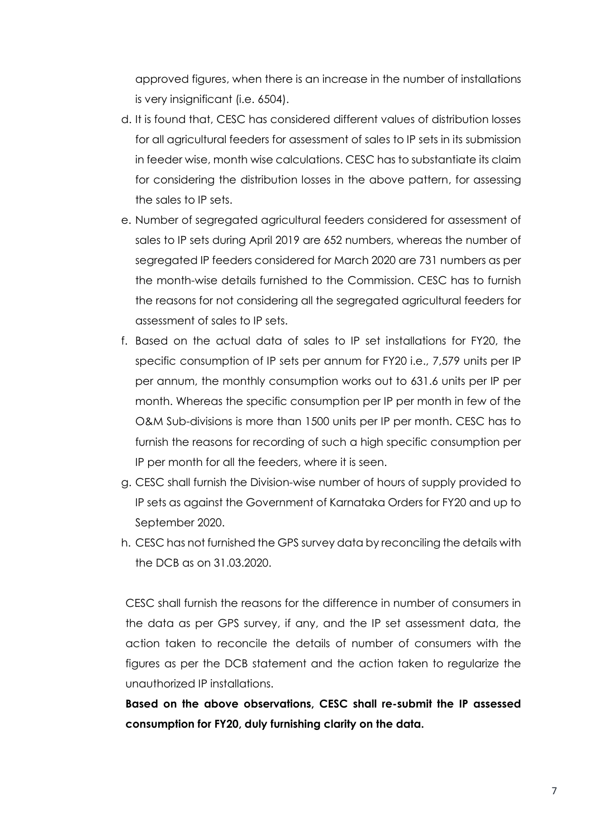approved figures, when there is an increase in the number of installations is very insignificant (i.e. 6504).

- d. It is found that, CESC has considered different values of distribution losses for all agricultural feeders for assessment of sales to IP sets in its submission in feeder wise, month wise calculations. CESC has to substantiate its claim for considering the distribution losses in the above pattern, for assessing the sales to IP sets.
- e. Number of segregated agricultural feeders considered for assessment of sales to IP sets during April 2019 are 652 numbers, whereas the number of segregated IP feeders considered for March 2020 are 731 numbers as per the month-wise details furnished to the Commission. CESC has to furnish the reasons for not considering all the segregated agricultural feeders for assessment of sales to IP sets.
- f. Based on the actual data of sales to IP set installations for FY20, the specific consumption of IP sets per annum for FY20 i.e., 7,579 units per IP per annum, the monthly consumption works out to 631.6 units per IP per month. Whereas the specific consumption per IP per month in few of the O&M Sub-divisions is more than 1500 units per IP per month. CESC has to furnish the reasons for recording of such a high specific consumption per IP per month for all the feeders, where it is seen.
- g. CESC shall furnish the Division-wise number of hours of supply provided to IP sets as against the Government of Karnataka Orders for FY20 and up to September 2020.
- h. CESC has not furnished the GPS survey data by reconciling the details with the DCB as on 31.03.2020.

CESC shall furnish the reasons for the difference in number of consumers in the data as per GPS survey, if any, and the IP set assessment data, the action taken to reconcile the details of number of consumers with the figures as per the DCB statement and the action taken to regularize the unauthorized IP installations.

**Based on the above observations, CESC shall re-submit the IP assessed consumption for FY20, duly furnishing clarity on the data.**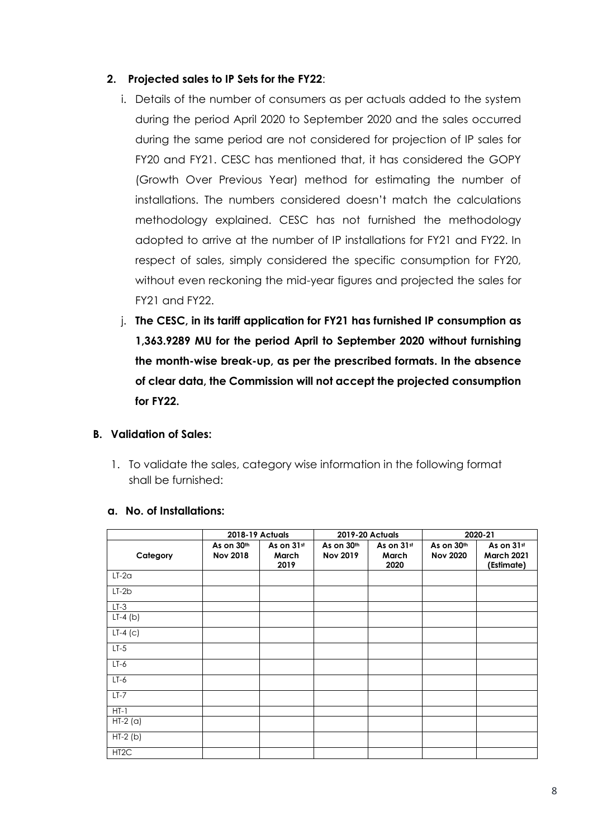### **2. Projected sales to IP Sets for the FY22**:

- i. Details of the number of consumers as per actuals added to the system during the period April 2020 to September 2020 and the sales occurred during the same period are not considered for projection of IP sales for FY20 and FY21. CESC has mentioned that, it has considered the GOPY (Growth Over Previous Year) method for estimating the number of installations. The numbers considered doesn't match the calculations methodology explained. CESC has not furnished the methodology adopted to arrive at the number of IP installations for FY21 and FY22. In respect of sales, simply considered the specific consumption for FY20, without even reckoning the mid-year figures and projected the sales for FY21 and FY22.
- j. **The CESC, in its tariff application for FY21 has furnished IP consumption as 1,363.9289 MU for the period April to September 2020 without furnishing the month-wise break-up, as per the prescribed formats. In the absence of clear data, the Commission will not accept the projected consumption for FY22.**

## **B. Validation of Sales:**

1. To validate the sales, category wise information in the following format shall be furnished:

|                   |                               | <b>2018-19 Actuals</b>      |                               | <b>2019-20 Actuals</b>      |                               | 2020-21                                       |
|-------------------|-------------------------------|-----------------------------|-------------------------------|-----------------------------|-------------------------------|-----------------------------------------------|
| Category          | As on 30th<br><b>Nov 2018</b> | As on 31st<br>March<br>2019 | As on 30th<br><b>Nov 2019</b> | As on 31st<br>March<br>2020 | As on 30th<br><b>Nov 2020</b> | As on 31st<br><b>March 2021</b><br>(Estimate) |
| $LT-2a$           |                               |                             |                               |                             |                               |                                               |
| $LT-2b$           |                               |                             |                               |                             |                               |                                               |
| $LT-3$            |                               |                             |                               |                             |                               |                                               |
| $LT-4$ (b)        |                               |                             |                               |                             |                               |                                               |
| $LT-4$ (c)        |                               |                             |                               |                             |                               |                                               |
| $LT-5$            |                               |                             |                               |                             |                               |                                               |
| $LT-6$            |                               |                             |                               |                             |                               |                                               |
| $LT-6$            |                               |                             |                               |                             |                               |                                               |
| $LT-7$            |                               |                             |                               |                             |                               |                                               |
| $HT-1$            |                               |                             |                               |                             |                               |                                               |
| $HT-2(a)$         |                               |                             |                               |                             |                               |                                               |
| $HT-2(b)$         |                               |                             |                               |                             |                               |                                               |
| HT <sub>2</sub> C |                               |                             |                               |                             |                               |                                               |

#### **a. No. of Installations:**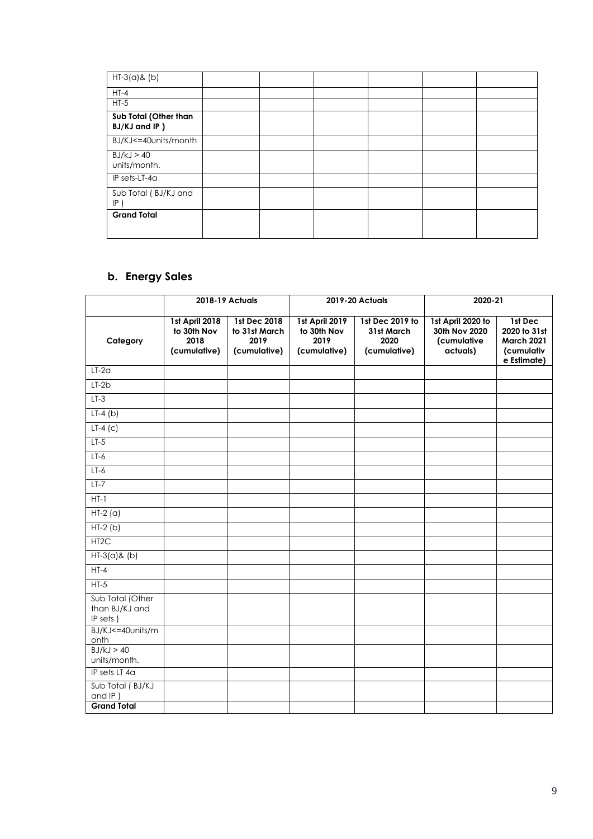| $HT-3(a)$ & (b)                        |  |  |  |
|----------------------------------------|--|--|--|
| $HT-4$                                 |  |  |  |
| $HT-5$                                 |  |  |  |
| Sub Total (Other than<br>BJ/KJ and IP) |  |  |  |
| BJ/KJ<=40units/month                   |  |  |  |
| BJ/kJ > 40<br>units/month.             |  |  |  |
| IP sets-LT-4a                          |  |  |  |
| Sub Total (BJ/KJ and<br> P             |  |  |  |
| <b>Grand Total</b>                     |  |  |  |

## **b. Energy Sales**

|                                                |                                                       | 2018-19 Actuals                                       |                                                       | 2019-20 Actuals                                       | 2020-21                                                       |                                                                           |
|------------------------------------------------|-------------------------------------------------------|-------------------------------------------------------|-------------------------------------------------------|-------------------------------------------------------|---------------------------------------------------------------|---------------------------------------------------------------------------|
| Category                                       | 1st April 2018<br>to 30th Nov<br>2018<br>(cumulative) | 1st Dec 2018<br>to 31st March<br>2019<br>(cumulative) | 1st April 2019<br>to 30th Nov<br>2019<br>(cumulative) | 1st Dec 2019 to<br>31st March<br>2020<br>(cumulative) | 1st April 2020 to<br>30th Nov 2020<br>(cumulative<br>actuals) | 1st Dec<br>2020 to 31st<br><b>March 2021</b><br>(cumulativ<br>e Estimate) |
| $LT-2a$                                        |                                                       |                                                       |                                                       |                                                       |                                                               |                                                                           |
| $LT-2b$                                        |                                                       |                                                       |                                                       |                                                       |                                                               |                                                                           |
| $LT-3$                                         |                                                       |                                                       |                                                       |                                                       |                                                               |                                                                           |
| $LT-4(b)$                                      |                                                       |                                                       |                                                       |                                                       |                                                               |                                                                           |
| $LT-4$ (c)                                     |                                                       |                                                       |                                                       |                                                       |                                                               |                                                                           |
| $LT-5$                                         |                                                       |                                                       |                                                       |                                                       |                                                               |                                                                           |
| $LT-6$                                         |                                                       |                                                       |                                                       |                                                       |                                                               |                                                                           |
| $LT-6$                                         |                                                       |                                                       |                                                       |                                                       |                                                               |                                                                           |
| $LT-7$                                         |                                                       |                                                       |                                                       |                                                       |                                                               |                                                                           |
| $HT-1$                                         |                                                       |                                                       |                                                       |                                                       |                                                               |                                                                           |
| $HT-2(a)$                                      |                                                       |                                                       |                                                       |                                                       |                                                               |                                                                           |
| $HT-2(b)$                                      |                                                       |                                                       |                                                       |                                                       |                                                               |                                                                           |
| HT <sub>2</sub> C                              |                                                       |                                                       |                                                       |                                                       |                                                               |                                                                           |
| $HT-3(a)$ & (b)                                |                                                       |                                                       |                                                       |                                                       |                                                               |                                                                           |
| $HT-4$                                         |                                                       |                                                       |                                                       |                                                       |                                                               |                                                                           |
| $HT-5$                                         |                                                       |                                                       |                                                       |                                                       |                                                               |                                                                           |
| Sub Total (Other<br>than BJ/KJ and<br>IP sets) |                                                       |                                                       |                                                       |                                                       |                                                               |                                                                           |
| BJ/KJ<=40units/m<br>onth                       |                                                       |                                                       |                                                       |                                                       |                                                               |                                                                           |
| BJ/kJ > 40<br>units/month.                     |                                                       |                                                       |                                                       |                                                       |                                                               |                                                                           |
| IP sets LT 4a                                  |                                                       |                                                       |                                                       |                                                       |                                                               |                                                                           |
| Sub Total (BJ/KJ<br>and IP)                    |                                                       |                                                       |                                                       |                                                       |                                                               |                                                                           |
| <b>Grand Total</b>                             |                                                       |                                                       |                                                       |                                                       |                                                               |                                                                           |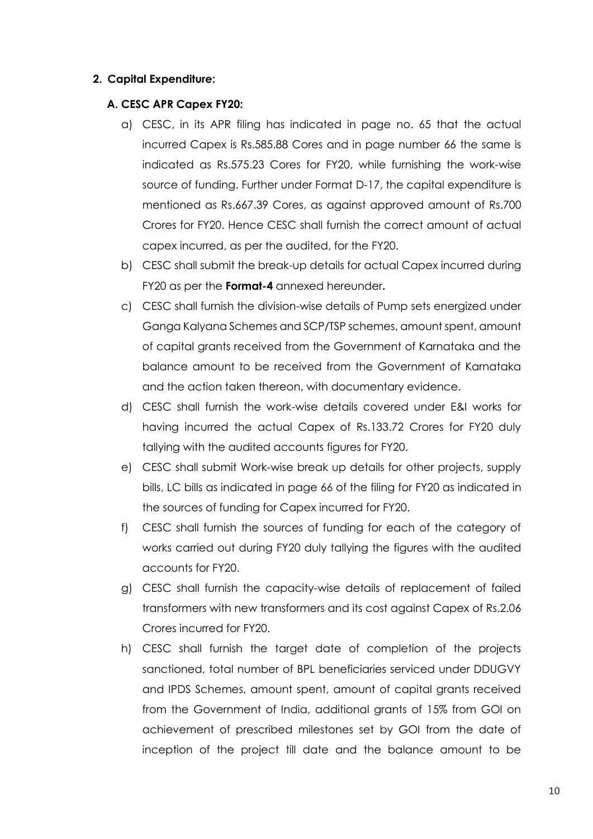#### **2. Capital Expenditure:**

#### **A. CESC APR Capex FY20:**

- a) CESC, in its APR filing has indicated in page no. 65 that the actual incurred Capex is Rs.585.88 Cores and in page number 66 the same is indicated as Rs.575.23 Cores for FY20, while furnishing the work-wise source of funding. Further under Format D-17, the capital expenditure is mentioned as Rs.667.39 Cores, as against approved amount of Rs.700 Crores for FY20. Hence CESC shall furnish the correct amount of actual capex incurred, as per the audited, for the FY20.
- b) CESC shall submit the break-up details for actual Capex incurred during FY20 as per the **Format-4** annexed hereunder**.**
- c) CESC shall furnish the division-wise details of Pump sets energized under Ganga Kalyana Schemes and SCP/TSP schemes, amount spent, amount of capital grants received from the Government of Karnataka and the balance amount to be received from the Government of Karnataka and the action taken thereon, with documentary evidence.
- d) CESC shall furnish the work-wise details covered under E&I works for having incurred the actual Capex of Rs.133.72 Crores for FY20 duly tallying with the audited accounts figures for FY20.
- e) CESC shall submit Work-wise break up details for other projects, supply bills, LC bills as indicated in page 66 of the filing for FY20 as indicated in the sources of funding for Capex incurred for FY20.
- f) CESC shall furnish the sources of funding for each of the category of works carried out during FY20 duly tallying the figures with the audited accounts for FY20.
- g) CESC shall furnish the capacity-wise details of replacement of failed transformers with new transformers and its cost against Capex of Rs.2.06 Crores incurred for FY20.
- h) CESC shall furnish the target date of completion of the projects sanctioned, total number of BPL beneficiaries serviced under DDUGVY and IPDS Schemes, amount spent, amount of capital grants received from the Government of India, additional grants of 15% from GOI on achievement of prescribed milestones set by GOI from the date of inception of the project till date and the balance amount to be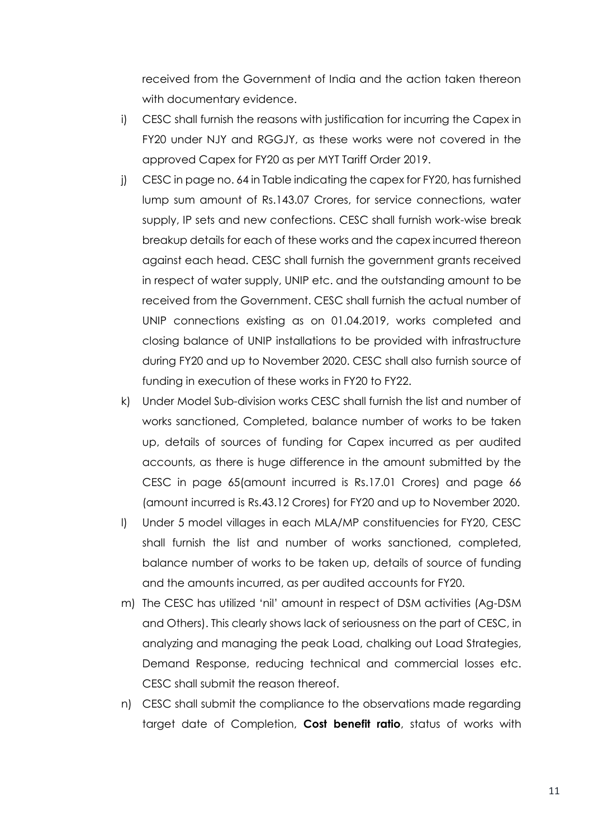received from the Government of India and the action taken thereon with documentary evidence.

- i) CESC shall furnish the reasons with justification for incurring the Capex in FY20 under NJY and RGGJY, as these works were not covered in the approved Capex for FY20 as per MYT Tariff Order 2019.
- j) CESC in page no. 64 in Table indicating the capex for FY20, has furnished lump sum amount of Rs.143.07 Crores, for service connections, water supply, IP sets and new confections. CESC shall furnish work-wise break breakup details for each of these works and the capex incurred thereon against each head. CESC shall furnish the government grants received in respect of water supply, UNIP etc. and the outstanding amount to be received from the Government. CESC shall furnish the actual number of UNIP connections existing as on 01.04.2019, works completed and closing balance of UNIP installations to be provided with infrastructure during FY20 and up to November 2020. CESC shall also furnish source of funding in execution of these works in FY20 to FY22.
- k) Under Model Sub-division works CESC shall furnish the list and number of works sanctioned, Completed, balance number of works to be taken up, details of sources of funding for Capex incurred as per audited accounts, as there is huge difference in the amount submitted by the CESC in page 65(amount incurred is Rs.17.01 Crores) and page 66 (amount incurred is Rs.43.12 Crores) for FY20 and up to November 2020.
- l) Under 5 model villages in each MLA/MP constituencies for FY20, CESC shall furnish the list and number of works sanctioned, completed, balance number of works to be taken up, details of source of funding and the amounts incurred, as per audited accounts for FY20.
- m) The CESC has utilized 'nil' amount in respect of DSM activities (Ag-DSM and Others). This clearly shows lack of seriousness on the part of CESC, in analyzing and managing the peak Load, chalking out Load Strategies, Demand Response, reducing technical and commercial losses etc. CESC shall submit the reason thereof.
- n) CESC shall submit the compliance to the observations made regarding target date of Completion, **Cost benefit ratio**, status of works with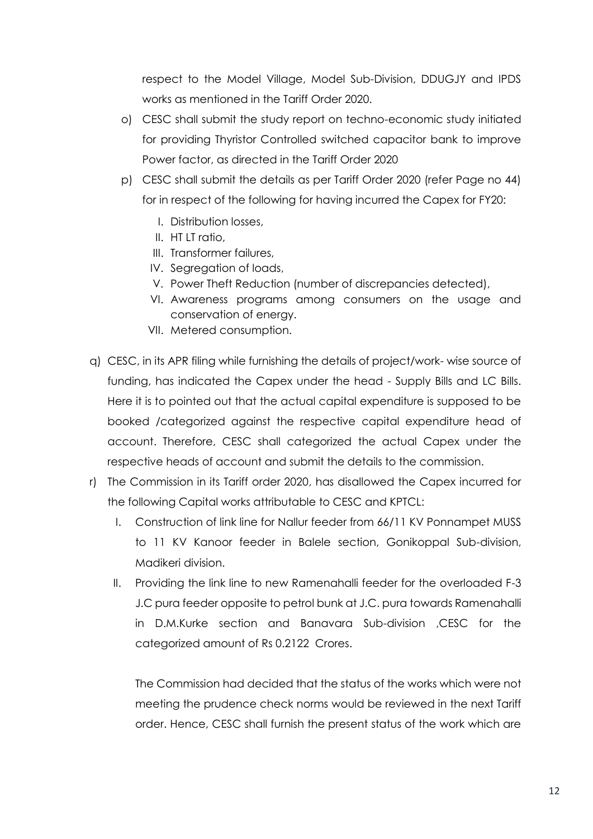respect to the Model Village, Model Sub-Division, DDUGJY and IPDS works as mentioned in the Tariff Order 2020.

- o) CESC shall submit the study report on techno-economic study initiated for providing Thyristor Controlled switched capacitor bank to improve Power factor, as directed in the Tariff Order 2020
- p) CESC shall submit the details as per Tariff Order 2020 (refer Page no 44) for in respect of the following for having incurred the Capex for FY20:
	- I. Distribution losses,
	- II. HT LT ratio,
	- III. Transformer failures,
	- IV. Segregation of loads,
	- V. Power Theft Reduction (number of discrepancies detected),
	- VI. Awareness programs among consumers on the usage and conservation of energy.
	- VII. Metered consumption.
- q) CESC, in its APR filing while furnishing the details of project/work- wise source of funding, has indicated the Capex under the head - Supply Bills and LC Bills. Here it is to pointed out that the actual capital expenditure is supposed to be booked /categorized against the respective capital expenditure head of account. Therefore, CESC shall categorized the actual Capex under the respective heads of account and submit the details to the commission.
- r) The Commission in its Tariff order 2020, has disallowed the Capex incurred for the following Capital works attributable to CESC and KPTCL:
	- I. Construction of link line for Nallur feeder from 66/11 KV Ponnampet MUSS to 11 KV Kanoor feeder in Balele section, Gonikoppal Sub-division, Madikeri division.
	- II. Providing the link line to new Ramenahalli feeder for the overloaded F-3 J.C pura feeder opposite to petrol bunk at J.C. pura towards Ramenahalli in D.M.Kurke section and Banavara Sub-division ,CESC for the categorized amount of Rs 0.2122 Crores.

The Commission had decided that the status of the works which were not meeting the prudence check norms would be reviewed in the next Tariff order. Hence, CESC shall furnish the present status of the work which are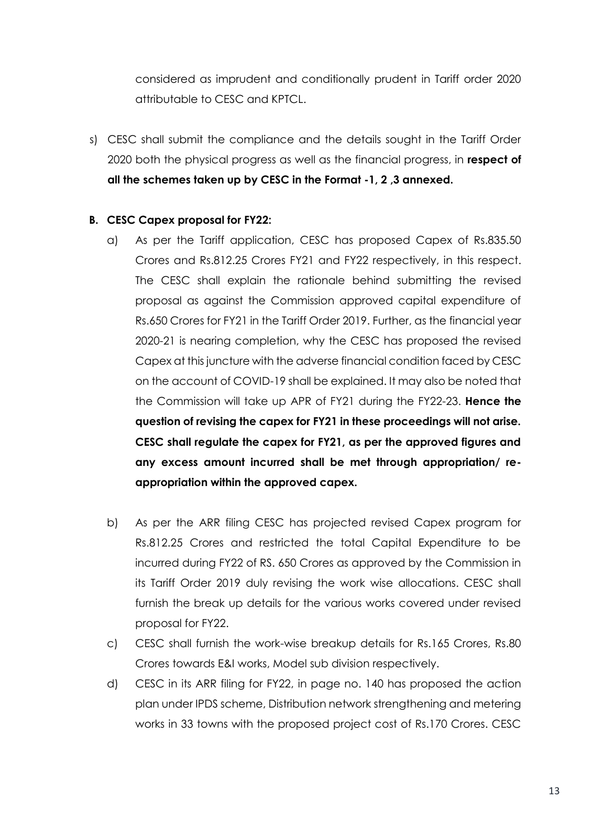considered as imprudent and conditionally prudent in Tariff order 2020 attributable to CESC and KPTCL.

s) CESC shall submit the compliance and the details sought in the Tariff Order 2020 both the physical progress as well as the financial progress, in **respect of all the schemes taken up by CESC in the Format -1, 2 ,3 annexed.**

### **B. CESC Capex proposal for FY22:**

- a) As per the Tariff application, CESC has proposed Capex of Rs.835.50 Crores and Rs.812.25 Crores FY21 and FY22 respectively, in this respect. The CESC shall explain the rationale behind submitting the revised proposal as against the Commission approved capital expenditure of Rs.650 Crores for FY21 in the Tariff Order 2019. Further, as the financial year 2020-21 is nearing completion, why the CESC has proposed the revised Capex at this juncture with the adverse financial condition faced by CESC on the account of COVID-19 shall be explained. It may also be noted that the Commission will take up APR of FY21 during the FY22-23. **Hence the question of revising the capex for FY21 in these proceedings will not arise. CESC shall regulate the capex for FY21, as per the approved figures and any excess amount incurred shall be met through appropriation/ reappropriation within the approved capex.**
- b) As per the ARR filing CESC has projected revised Capex program for Rs.812.25 Crores and restricted the total Capital Expenditure to be incurred during FY22 of RS. 650 Crores as approved by the Commission in its Tariff Order 2019 duly revising the work wise allocations. CESC shall furnish the break up details for the various works covered under revised proposal for FY22.
- c) CESC shall furnish the work-wise breakup details for Rs.165 Crores, Rs.80 Crores towards E&I works, Model sub division respectively.
- d) CESC in its ARR filing for FY22, in page no. 140 has proposed the action plan under IPDS scheme, Distribution network strengthening and metering works in 33 towns with the proposed project cost of Rs.170 Crores. CESC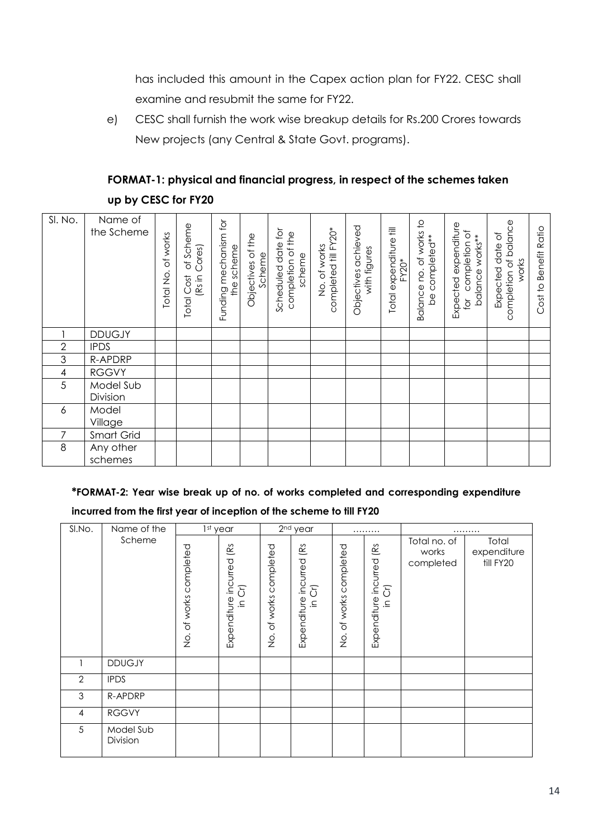has included this amount in the Capex action plan for FY22. CESC shall examine and resubmit the same for FY22.

e) CESC shall furnish the work wise breakup details for Rs.200 Crores towards New projects (any Central & State Govt. programs).

## **FORMAT-1: physical and financial progress, in respect of the schemes taken up by CESC for FY20**

| SI. No.                  | Name of<br>the Scheme | of works<br>Total No. | of Scheme<br>(Rs in Cores)<br>Total Cost | Funding mechanism for<br>the scheme | the<br>ð<br>Scheme<br>Objectives | $\overline{C}$<br>completion of the<br>Scheduled date<br>scheme | completed till FY20*<br>of works<br>$\frac{\dot{Q}}{Z}$ | Objectives achieved<br>with figures | Total expenditure fill<br>$FY20*$ | Balance no. of works to<br>be completed** | Expected expenditure<br>completion of<br>balance works**<br>for | completion of balance<br>$\overline{\circ}$<br>Expected date<br>works | <b>Benefit Ratio</b><br>Cost to |
|--------------------------|-----------------------|-----------------------|------------------------------------------|-------------------------------------|----------------------------------|-----------------------------------------------------------------|---------------------------------------------------------|-------------------------------------|-----------------------------------|-------------------------------------------|-----------------------------------------------------------------|-----------------------------------------------------------------------|---------------------------------|
|                          | <b>DDUGJY</b>         |                       |                                          |                                     |                                  |                                                                 |                                                         |                                     |                                   |                                           |                                                                 |                                                                       |                                 |
| $\mathbf{2}$             | <b>IPDS</b>           |                       |                                          |                                     |                                  |                                                                 |                                                         |                                     |                                   |                                           |                                                                 |                                                                       |                                 |
| 3                        | R-APDRP               |                       |                                          |                                     |                                  |                                                                 |                                                         |                                     |                                   |                                           |                                                                 |                                                                       |                                 |
| $\overline{\mathcal{A}}$ | <b>RGGVY</b>          |                       |                                          |                                     |                                  |                                                                 |                                                         |                                     |                                   |                                           |                                                                 |                                                                       |                                 |
| 5                        | Model Sub<br>Division |                       |                                          |                                     |                                  |                                                                 |                                                         |                                     |                                   |                                           |                                                                 |                                                                       |                                 |
| 6                        | Model<br>Village      |                       |                                          |                                     |                                  |                                                                 |                                                         |                                     |                                   |                                           |                                                                 |                                                                       |                                 |
| 7                        | Smart Grid            |                       |                                          |                                     |                                  |                                                                 |                                                         |                                     |                                   |                                           |                                                                 |                                                                       |                                 |
| 8                        | Any other<br>schemes  |                       |                                          |                                     |                                  |                                                                 |                                                         |                                     |                                   |                                           |                                                                 |                                                                       |                                 |

## **\*FORMAT-2: Year wise break up of no. of works completed and corresponding expenditure**

#### **incurred from the first year of inception of the scheme to till FY20**

| SI.No.        | Name of the           |                        | 1st year                                                           |                                                                | 2 <sup>nd</sup> year                                   |                                                               | .                                                |                                    | .                                 |
|---------------|-----------------------|------------------------|--------------------------------------------------------------------|----------------------------------------------------------------|--------------------------------------------------------|---------------------------------------------------------------|--------------------------------------------------|------------------------------------|-----------------------------------|
|               | Scheme                | No. of works completed | ίŔ<br>incurred<br>$\delta$<br>Expenditure<br>$\mathrel{\mathop:}=$ | completed<br>of works<br>$\frac{\dot{\mathrm{o}}}{\mathrm{Z}}$ | ίg<br>Expenditure incurred<br>δĪ<br>$\overline{\Xi}$ . | completed<br>works<br>$\sigma$<br>$\frac{\dot{\rm o}}{\rm Z}$ | (Rs<br>incurred<br>$\delta$<br>Expenditure<br>그. | Total no. of<br>works<br>completed | Total<br>expenditure<br>till FY20 |
|               | <b>DDUGJY</b>         |                        |                                                                    |                                                                |                                                        |                                                               |                                                  |                                    |                                   |
| $\mathbf{2}$  | <b>IPDS</b>           |                        |                                                                    |                                                                |                                                        |                                                               |                                                  |                                    |                                   |
| $\mathfrak 3$ | R-APDRP               |                        |                                                                    |                                                                |                                                        |                                                               |                                                  |                                    |                                   |
| 4             | <b>RGGVY</b>          |                        |                                                                    |                                                                |                                                        |                                                               |                                                  |                                    |                                   |
| 5             | Model Sub<br>Division |                        |                                                                    |                                                                |                                                        |                                                               |                                                  |                                    |                                   |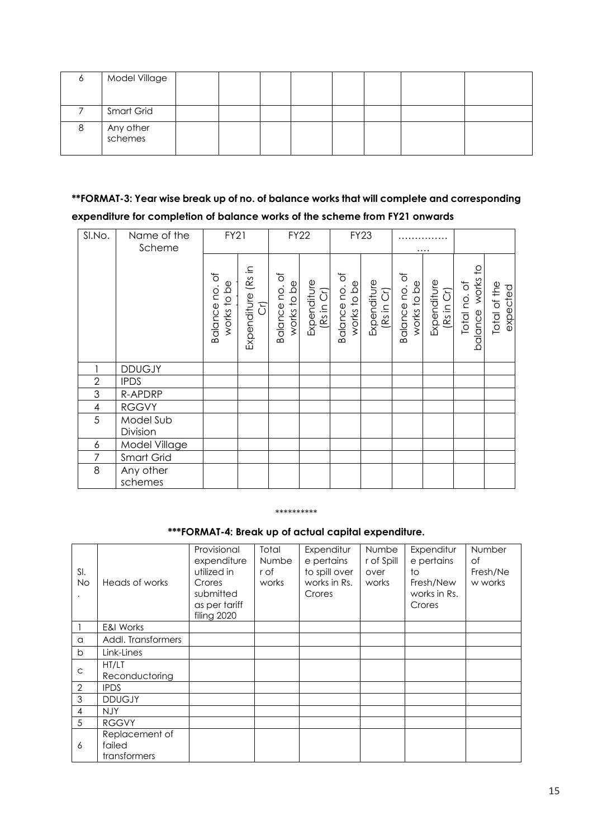| Model Village        |  |  |  |  |
|----------------------|--|--|--|--|
|                      |  |  |  |  |
| Smart Grid           |  |  |  |  |
| Any other<br>schemes |  |  |  |  |

## **\*\*FORMAT-3: Year wise break up of no. of balance works that will complete and corresponding expenditure for completion of balance works of the scheme from FY21 onwards**

| SI.No.         | Name of the<br>Scheme | <b>FY21</b>                     |                                     | <b>FY22</b>                           |                           |                                 | <b>FY23</b>               |                                 | .                         |                                  |                          |
|----------------|-----------------------|---------------------------------|-------------------------------------|---------------------------------------|---------------------------|---------------------------------|---------------------------|---------------------------------|---------------------------|----------------------------------|--------------------------|
|                |                       | ð<br>works to be<br>Balance no. | Expenditure (Rs in<br>$\widehat{C}$ | $\rm 5$<br>works to be<br>Balance no. | Expenditure<br>(Rs in Cr) | đ<br>works to be<br>Balance no. | Expenditure<br>(Rs in Cr) | đ<br>works to be<br>Balance no. | Expenditure<br>(Rs in Cr) | balance works to<br>Total no. of | Total of the<br>expected |
|                | <b>DDUGJY</b>         |                                 |                                     |                                       |                           |                                 |                           |                                 |                           |                                  |                          |
| $\overline{2}$ | <b>IPDS</b>           |                                 |                                     |                                       |                           |                                 |                           |                                 |                           |                                  |                          |
| 3              | R-APDRP               |                                 |                                     |                                       |                           |                                 |                           |                                 |                           |                                  |                          |
| 4              | <b>RGGVY</b>          |                                 |                                     |                                       |                           |                                 |                           |                                 |                           |                                  |                          |
| 5              | Model Sub<br>Division |                                 |                                     |                                       |                           |                                 |                           |                                 |                           |                                  |                          |
| 6              | Model Village         |                                 |                                     |                                       |                           |                                 |                           |                                 |                           |                                  |                          |
| 7              | Smart Grid            |                                 |                                     |                                       |                           |                                 |                           |                                 |                           |                                  |                          |
| 8              | Any other<br>schemes  |                                 |                                     |                                       |                           |                                 |                           |                                 |                           |                                  |                          |

#### \*\*\*\*\*\*\*\*\*\*

**\*\*\*FORMAT-4: Break up of actual capital expenditure.**

| SI.<br><b>No</b> | Heads of works                           | Provisional<br>expenditure<br>utilized in<br>Crores<br>submitted<br>as per tariff<br>filing 2020 | Total<br><b>Numbe</b><br>r of<br>works | Expenditur<br>e pertains<br>to spill over<br>works in Rs.<br>Crores | <b>Numbe</b><br>r of Spill<br>over<br>works | Expenditur<br>e pertains<br>to<br>Fresh/New<br>works in Rs.<br>Crores | Number<br>Οf<br>Fresh/Ne<br>w works |
|------------------|------------------------------------------|--------------------------------------------------------------------------------------------------|----------------------------------------|---------------------------------------------------------------------|---------------------------------------------|-----------------------------------------------------------------------|-------------------------------------|
|                  | <b>E&amp;I Works</b>                     |                                                                                                  |                                        |                                                                     |                                             |                                                                       |                                     |
| a                | Addl. Transformers                       |                                                                                                  |                                        |                                                                     |                                             |                                                                       |                                     |
| $\mathsf{b}$     | Link-Lines                               |                                                                                                  |                                        |                                                                     |                                             |                                                                       |                                     |
| $\mathsf C$      | HT/LT<br>Reconductoring                  |                                                                                                  |                                        |                                                                     |                                             |                                                                       |                                     |
| $\mathbf{2}$     | <b>IPDS</b>                              |                                                                                                  |                                        |                                                                     |                                             |                                                                       |                                     |
| 3                | <b>DDUGJY</b>                            |                                                                                                  |                                        |                                                                     |                                             |                                                                       |                                     |
| 4                | <b>NJY</b>                               |                                                                                                  |                                        |                                                                     |                                             |                                                                       |                                     |
| 5                | <b>RGGVY</b>                             |                                                                                                  |                                        |                                                                     |                                             |                                                                       |                                     |
| 6                | Replacement of<br>failed<br>transformers |                                                                                                  |                                        |                                                                     |                                             |                                                                       |                                     |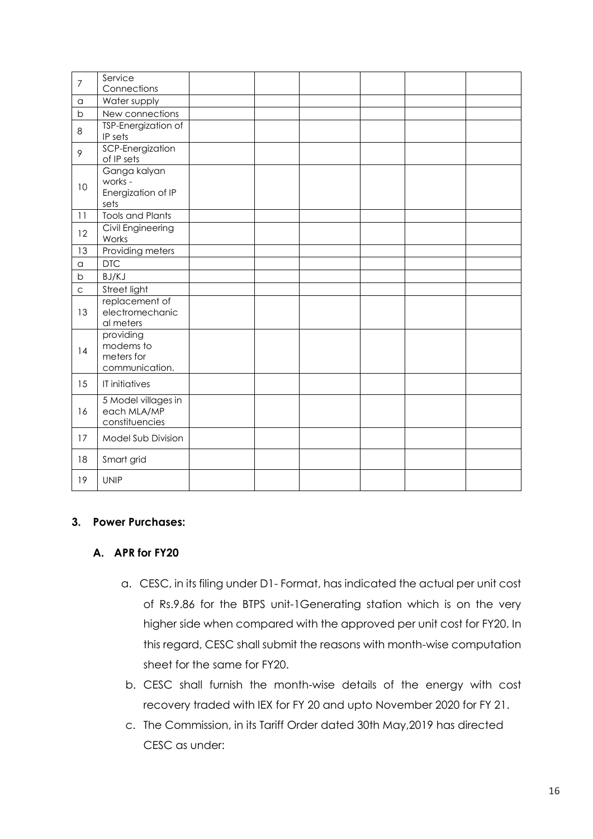| $\overline{7}$     | Service<br>Connections                                 |  |  |  |
|--------------------|--------------------------------------------------------|--|--|--|
| $\alpha$           | Water supply                                           |  |  |  |
| b                  | New connections                                        |  |  |  |
| 8                  | TSP-Energization of<br>IP sets                         |  |  |  |
| 9                  | SCP-Energization<br>of IP sets                         |  |  |  |
| 10                 | Ganga kalyan<br>works -<br>Energization of IP<br>sets  |  |  |  |
| 11                 | <b>Tools and Plants</b>                                |  |  |  |
| 12                 | Civil Engineering<br>Works                             |  |  |  |
| 13                 | Providing meters                                       |  |  |  |
| $\hbox{\tt\alpha}$ | <b>DTC</b>                                             |  |  |  |
| b                  | BJ/KJ                                                  |  |  |  |
| $\mathsf{C}$       | Street light                                           |  |  |  |
| 13                 | replacement of<br>electromechanic<br>al meters         |  |  |  |
| 14                 | providing<br>modems to<br>meters for<br>communication. |  |  |  |
| 15                 | IT initiatives                                         |  |  |  |
| 16                 | 5 Model villages in<br>each MLA/MP<br>constituencies   |  |  |  |
| 17                 | Model Sub Division                                     |  |  |  |
| 18                 | Smart grid                                             |  |  |  |
| 19                 | <b>UNIP</b>                                            |  |  |  |

#### **3. Power Purchases:**

#### **A. APR for FY20**

- a. CESC, in its filing under D1- Format, has indicated the actual per unit cost of Rs.9.86 for the BTPS unit-1Generating station which is on the very higher side when compared with the approved per unit cost for FY20. In this regard, CESC shall submit the reasons with month-wise computation sheet for the same for FY20.
- b. CESC shall furnish the month-wise details of the energy with cost recovery traded with IEX for FY 20 and upto November 2020 for FY 21.
- c. The Commission, in its Tariff Order dated 30th May,2019 has directed CESC as under: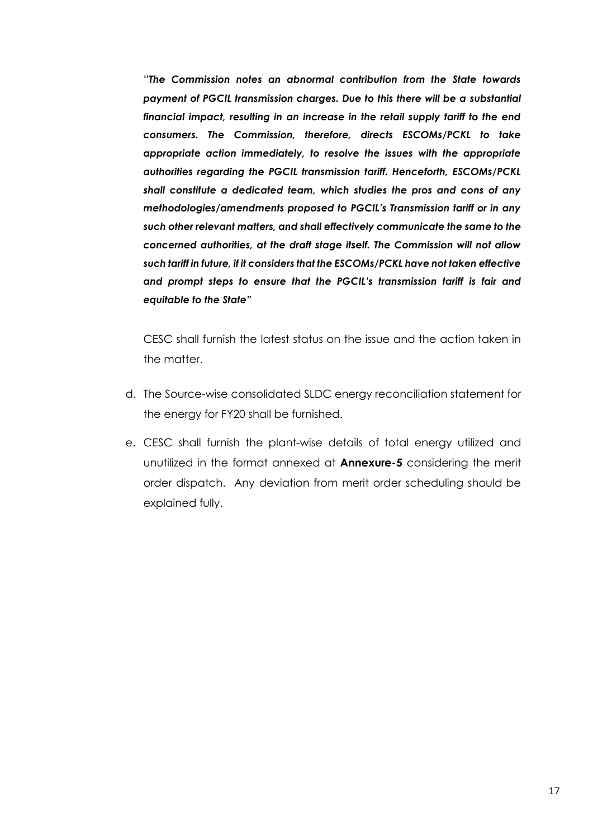"*The Commission notes an abnormal contribution from the State towards payment of PGCIL transmission charges. Due to this there will be a substantial financial impact, resulting in an increase in the retail supply tariff to the end consumers. The Commission, therefore, directs ESCOMs/PCKL to take appropriate action immediately, to resolve the issues with the appropriate authorities regarding the PGCIL transmission tariff. Henceforth, ESCOMs/PCKL shall constitute a dedicated team, which studies the pros and cons of any methodologies/amendments proposed to PGCIL's Transmission tariff or in any such other relevant matters, and shall effectively communicate the same to the concerned authorities, at the draft stage itself. The Commission will not allow such tariff in future, if it considers that the ESCOMs/PCKL have not taken effective and prompt steps to ensure that the PGCIL's transmission tariff is fair and equitable to the State"* 

CESC shall furnish the latest status on the issue and the action taken in the matter.

- d. The Source-wise consolidated SLDC energy reconciliation statement for the energy for FY20 shall be furnished.
- e. CESC shall furnish the plant-wise details of total energy utilized and unutilized in the format annexed at **Annexure-5** considering the merit order dispatch. Any deviation from merit order scheduling should be explained fully.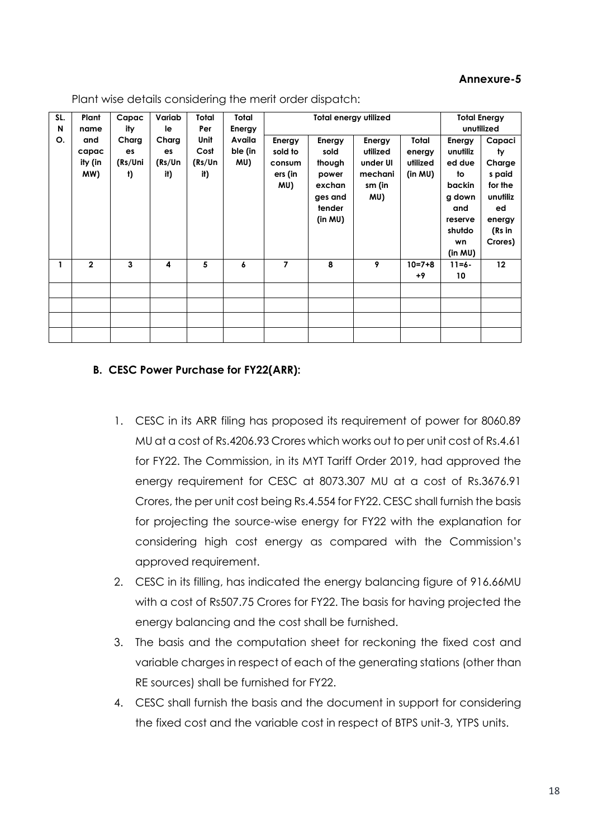#### **Annexure-5**

| SL. | Plant          | Capac   | Variab | Total  | Total   |         | <b>Total energy utilized</b> |          |              |            | <b>Total Energy</b> |
|-----|----------------|---------|--------|--------|---------|---------|------------------------------|----------|--------------|------------|---------------------|
| N   | name           | ity     | le     | Per    | Energy  |         |                              |          |              |            | unutilized          |
| О.  | and            | Charg   | Charg  | Unit   | Availa  | Energy  | Energy                       | Energy   | Total        | Energy     | Capaci              |
|     | capac          | es      | es     | Cost   | ble (in | sold to | sold                         | utilized | energy       | unutiliz   | ty                  |
|     | ity (in        | (Rs/Uni | (Rs/Un | (Rs/Un | MU)     | consum  | though                       | under UI | utilized     | ed due     | Charge              |
|     | MW)            | t)      | it)    | it)    |         | ers (in | power                        | mechani  | (in MU)      | to         | s paid              |
|     |                |         |        |        |         | MU)     | exchan                       | sm (in   |              | backin     | for the             |
|     |                |         |        |        |         |         | ges and                      | MU)      |              | g down     | unutiliz            |
|     |                |         |        |        |         |         | tender                       |          |              | and        | ed                  |
|     |                |         |        |        |         |         | (in MU)                      |          |              | reserve    | energy              |
|     |                |         |        |        |         |         |                              |          |              | shutdo     | (Rs in              |
|     |                |         |        |        |         |         |                              |          |              | wn         | Crores)             |
|     |                |         |        |        |         |         |                              |          |              | (in MU)    |                     |
| 1   | $\overline{2}$ | 3       | 4      | 5      | 6       | 7       | 8                            | 9        | $10 = 7 + 8$ | $11 = 6 -$ | 12                  |
|     |                |         |        |        |         |         |                              |          | $+9$         | 10         |                     |
|     |                |         |        |        |         |         |                              |          |              |            |                     |
|     |                |         |        |        |         |         |                              |          |              |            |                     |
|     |                |         |        |        |         |         |                              |          |              |            |                     |
|     |                |         |        |        |         |         |                              |          |              |            |                     |
|     |                |         |        |        |         |         |                              |          |              |            |                     |

Plant wise details considering the merit order dispatch:

#### **B. CESC Power Purchase for FY22(ARR):**

- 1. CESC in its ARR filing has proposed its requirement of power for 8060.89 MU at a cost of Rs.4206.93 Crores which works out to per unit cost of Rs.4.61 for FY22. The Commission, in its MYT Tariff Order 2019, had approved the energy requirement for CESC at 8073.307 MU at a cost of Rs.3676.91 Crores, the per unit cost being Rs.4.554 for FY22. CESC shall furnish the basis for projecting the source-wise energy for FY22 with the explanation for considering high cost energy as compared with the Commission's approved requirement.
- 2. CESC in its filling, has indicated the energy balancing figure of 916.66MU with a cost of Rs507.75 Crores for FY22. The basis for having projected the energy balancing and the cost shall be furnished.
- 3. The basis and the computation sheet for reckoning the fixed cost and variable charges in respect of each of the generating stations (other than RE sources) shall be furnished for FY22.
- 4. CESC shall furnish the basis and the document in support for considering the fixed cost and the variable cost in respect of BTPS unit-3, YTPS units.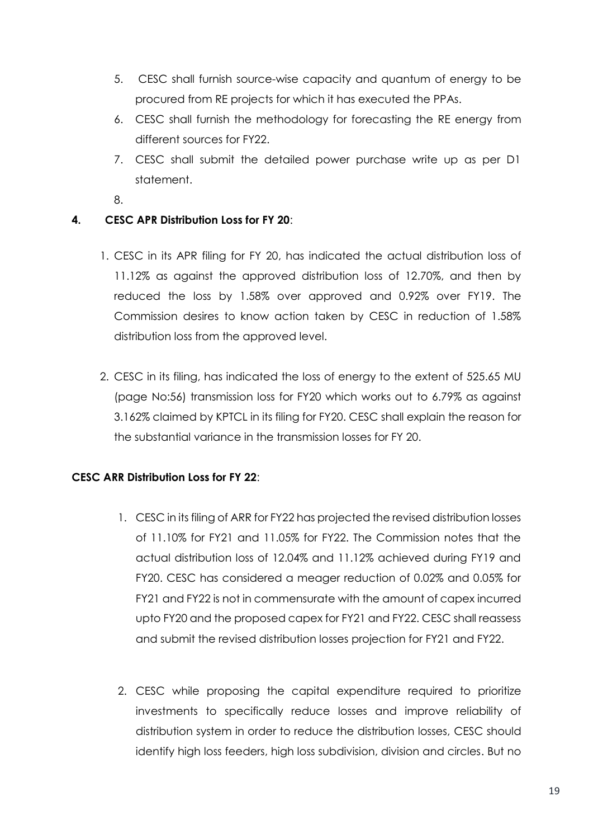- 5. CESC shall furnish source-wise capacity and quantum of energy to be procured from RE projects for which it has executed the PPAs.
- 6. CESC shall furnish the methodology for forecasting the RE energy from different sources for FY22.
- 7. CESC shall submit the detailed power purchase write up as per D1 statement.
- 8.

## **4. CESC APR Distribution Loss for FY 20**:

- 1. CESC in its APR filing for FY 20, has indicated the actual distribution loss of 11.12% as against the approved distribution loss of 12.70%, and then by reduced the loss by 1.58% over approved and 0.92% over FY19. The Commission desires to know action taken by CESC in reduction of 1.58% distribution loss from the approved level.
- 2. CESC in its filing, has indicated the loss of energy to the extent of 525.65 MU (page No:56) transmission loss for FY20 which works out to 6.79% as against 3.162% claimed by KPTCL in its filing for FY20. CESC shall explain the reason for the substantial variance in the transmission losses for FY 20.

## **CESC ARR Distribution Loss for FY 22**:

- 1. CESC in its filing of ARR for FY22 has projected the revised distribution losses of 11.10% for FY21 and 11.05% for FY22. The Commission notes that the actual distribution loss of 12.04% and 11.12% achieved during FY19 and FY20. CESC has considered a meager reduction of 0.02% and 0.05% for FY21 and FY22 is not in commensurate with the amount of capex incurred upto FY20 and the proposed capex for FY21 and FY22. CESC shall reassess and submit the revised distribution losses projection for FY21 and FY22.
- 2. CESC while proposing the capital expenditure required to prioritize investments to specifically reduce losses and improve reliability of distribution system in order to reduce the distribution losses, CESC should identify high loss feeders, high loss subdivision, division and circles. But no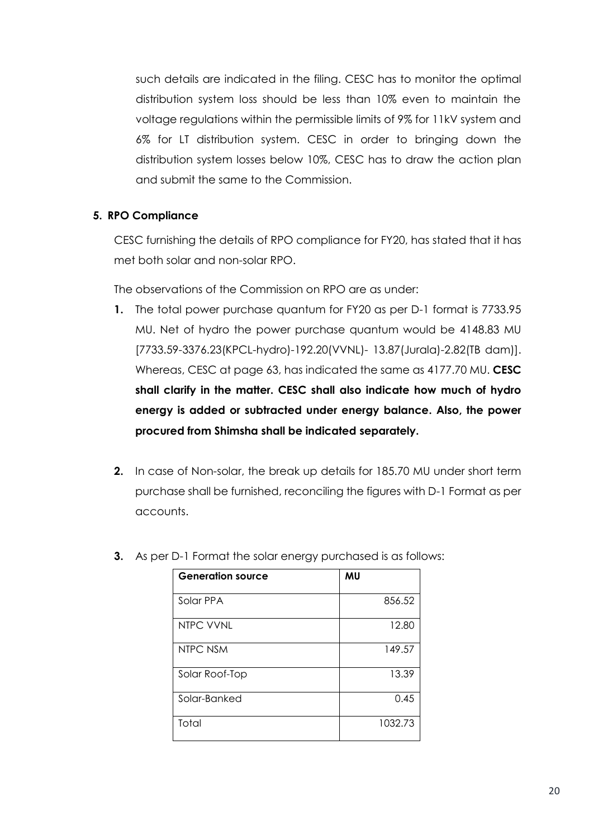such details are indicated in the filing. CESC has to monitor the optimal distribution system loss should be less than 10% even to maintain the voltage regulations within the permissible limits of 9% for 11kV system and 6% for LT distribution system. CESC in order to bringing down the distribution system losses below 10%, CESC has to draw the action plan and submit the same to the Commission.

#### **5. RPO Compliance**

CESC furnishing the details of RPO compliance for FY20, has stated that it has met both solar and non-solar RPO.

The observations of the Commission on RPO are as under:

- **1.** The total power purchase quantum for FY20 as per D-1 format is 7733.95 MU. Net of hydro the power purchase quantum would be 4148.83 MU [7733.59-3376.23(KPCL-hydro)-192.20(VVNL)- 13.87(Jurala)-2.82(TB dam)]. Whereas, CESC at page 63, has indicated the same as 4177.70 MU. **CESC shall clarify in the matter. CESC shall also indicate how much of hydro energy is added or subtracted under energy balance. Also, the power procured from Shimsha shall be indicated separately.**
- **2.** In case of Non-solar, the break up details for 185.70 MU under short term purchase shall be furnished, reconciling the figures with D-1 Format as per accounts.

| <b>Generation source</b> | MU      |
|--------------------------|---------|
| Solar PPA                | 856.52  |
| NTPC VVNL                | 12.80   |
| NTPC NSM                 | 149.57  |
| Solar Roof-Top           | 13.39   |
| Solar-Banked             | 0.45    |
| Total                    | 1032.73 |

**3.** As per D-1 Format the solar energy purchased is as follows: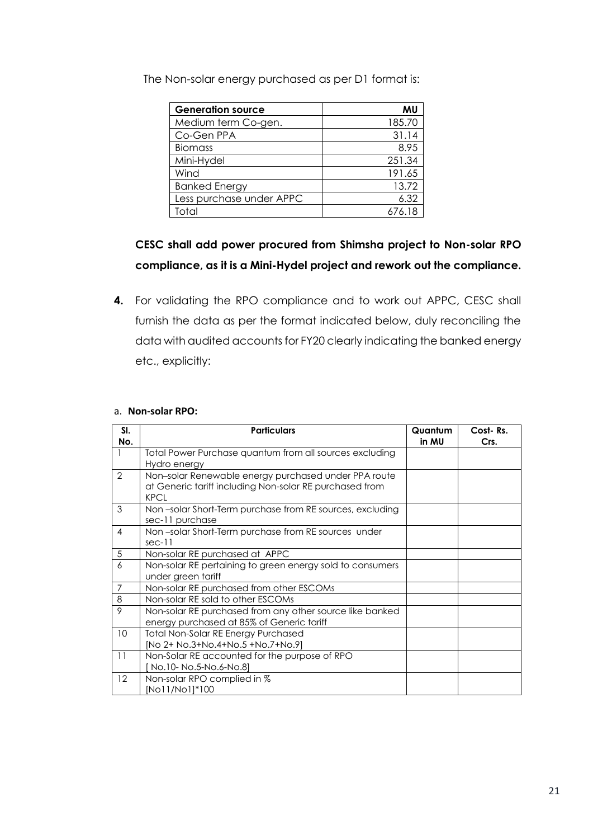| <b>Generation source</b> | MU     |
|--------------------------|--------|
| Medium term Co-gen.      | 185.70 |
| Co-Gen PPA               | 31.14  |
| <b>Biomass</b>           | 8.95   |
| Mini-Hydel               | 251.34 |
| Wind                     | 191.65 |
| <b>Banked Energy</b>     | 13.72  |
| Less purchase under APPC | 6.32   |
| Total                    | 676.18 |

The Non-solar energy purchased as per D1 format is:

## **CESC shall add power procured from Shimsha project to Non-solar RPO compliance, as it is a Mini-Hydel project and rework out the compliance.**

**4.** For validating the RPO compliance and to work out APPC, CESC shall furnish the data as per the format indicated below, duly reconciling the data with audited accounts for FY20 clearly indicating the banked energy etc., explicitly:

#### a. **Non-solar RPO:**

| SI.<br>No.     | <b>Particulars</b>                                                                                                             | Quantum<br>in MU | Cost-Rs.<br>Crs. |
|----------------|--------------------------------------------------------------------------------------------------------------------------------|------------------|------------------|
|                | Total Power Purchase quantum from all sources excluding<br>Hydro energy                                                        |                  |                  |
| $\overline{2}$ | Non-solar Renewable energy purchased under PPA route<br>at Generic tariff including Non-solar RE purchased from<br><b>KPCL</b> |                  |                  |
| 3              | Non-solar Short-Term purchase from RE sources, excluding<br>sec-11 purchase                                                    |                  |                  |
| $\overline{4}$ | Non-solar Short-Term purchase from RE sources under<br>$sec-11$                                                                |                  |                  |
| 5              | Non-solar RE purchased at APPC                                                                                                 |                  |                  |
| 6              | Non-solar RE pertaining to green energy sold to consumers<br>under green tariff                                                |                  |                  |
| 7              | Non-solar RE purchased from other ESCOMs                                                                                       |                  |                  |
| $\,8\,$        | Non-solar RE sold to other ESCOMs                                                                                              |                  |                  |
| 9              | Non-solar RE purchased from any other source like banked<br>energy purchased at 85% of Generic tariff                          |                  |                  |
| 10             | <b>Total Non-Solar RE Energy Purchased</b><br>[No 2+ No.3+No.4+No.5 +No.7+No.9]                                                |                  |                  |
| 11             | Non-Solar RE accounted for the purpose of RPO<br>No.10- No.5-No.6-No.8]                                                        |                  |                  |
| 12             | Non-solar RPO complied in %<br>[No11/No1]*100                                                                                  |                  |                  |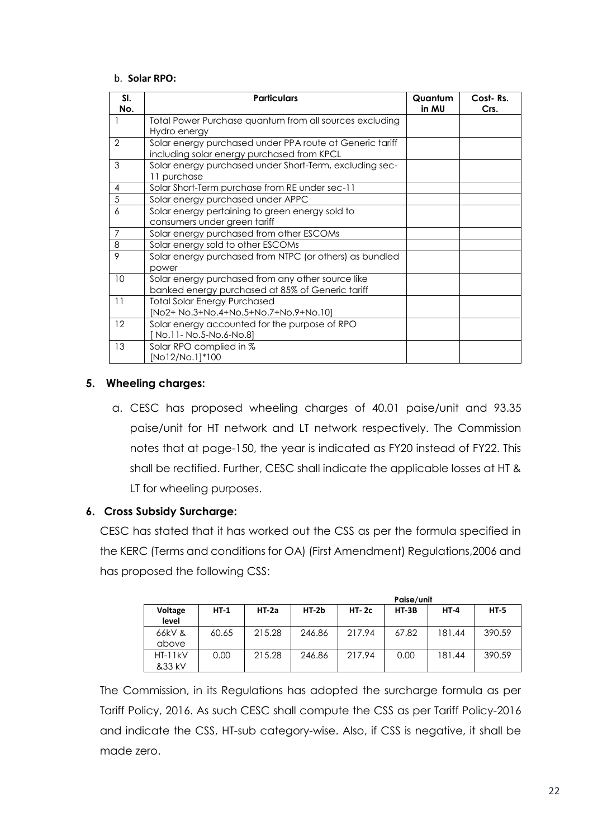#### b. **Solar RPO:**

| SI.<br>No.     | <b>Particulars</b>                                                                                     | Quantum<br>in MU | Cost-Rs.<br>Crs. |
|----------------|--------------------------------------------------------------------------------------------------------|------------------|------------------|
|                | Total Power Purchase quantum from all sources excluding<br>Hydro energy                                |                  |                  |
| $\mathcal{P}$  | Solar energy purchased under PPA route at Generic tariff<br>including solar energy purchased from KPCL |                  |                  |
| 3              | Solar energy purchased under Short-Term, excluding sec-<br>11 purchase                                 |                  |                  |
| $\overline{4}$ | Solar Short-Term purchase from RE under sec-11                                                         |                  |                  |
| 5              | Solar energy purchased under APPC                                                                      |                  |                  |
| 6              | Solar energy pertaining to green energy sold to<br>consumers under green tariff                        |                  |                  |
| $\overline{7}$ | Solar energy purchased from other ESCOMs                                                               |                  |                  |
| 8              | Solar energy sold to other ESCOMs                                                                      |                  |                  |
| 9              | Solar energy purchased from NTPC (or others) as bundled<br>power                                       |                  |                  |
| 10             | Solar energy purchased from any other source like<br>banked energy purchased at 85% of Generic tariff  |                  |                  |
| 11             | <b>Total Solar Energy Purchased</b><br>[No2+ No.3+No.4+No.5+No.7+No.9+No.10]                           |                  |                  |
| 12             | Solar energy accounted for the purpose of RPO<br>No.11- No.5-No.6-No.8]                                |                  |                  |
| 13             | Solar RPO complied in %<br>[No12/No.1]*100                                                             |                  |                  |

#### **5. Wheeling charges:**

a. CESC has proposed wheeling charges of 40.01 paise/unit and 93.35 paise/unit for HT network and LT network respectively. The Commission notes that at page-150, the year is indicated as FY20 instead of FY22. This shall be rectified. Further, CESC shall indicate the applicable losses at HT & LT for wheeling purposes.

#### **6. Cross Subsidy Surcharge:**

CESC has stated that it has worked out the CSS as per the formula specified in the KERC (Terms and conditions for OA) (First Amendment) Regulations,2006 and has proposed the following CSS:

|                  |        |         | Paise/unit |           |         |        |        |
|------------------|--------|---------|------------|-----------|---------|--------|--------|
| Voltage<br>level | $HT-1$ | $HT-2a$ | $HT-2b$    | $HT - 2c$ | $HT-3B$ | $HT-4$ | $HT-5$ |
|                  |        |         |            |           |         |        |        |
| 66kV &           | 60.65  | 215.28  | 246.86     | 217.94    | 67.82   | 181.44 | 390.59 |
| above            |        |         |            |           |         |        |        |
| $HT-11kV$        | 0.00   | 215.28  | 246.86     | 217.94    | 0.00    | 181.44 | 390.59 |
| &33 kV           |        |         |            |           |         |        |        |

The Commission, in its Regulations has adopted the surcharge formula as per Tariff Policy, 2016. As such CESC shall compute the CSS as per Tariff Policy-2016 and indicate the CSS, HT-sub category-wise. Also, if CSS is negative, it shall be made zero.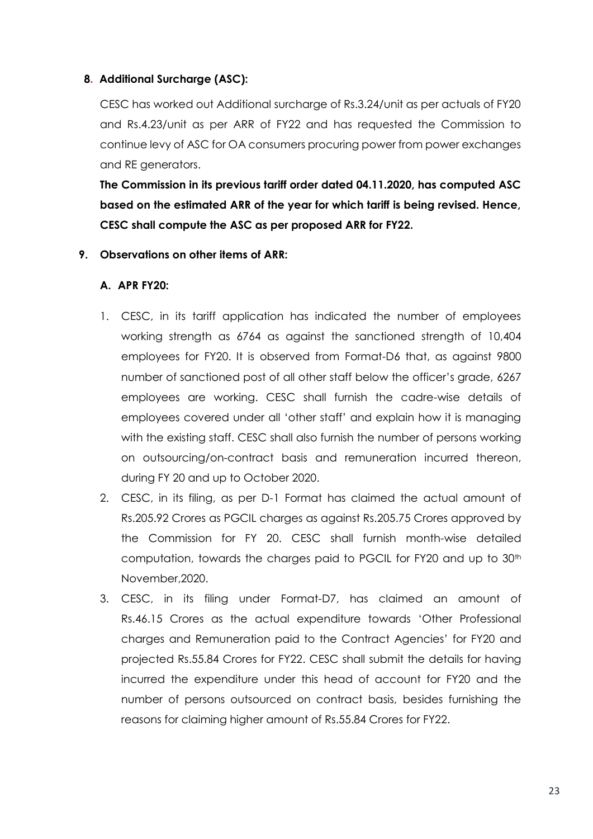#### **8. Additional Surcharge (ASC):**

CESC has worked out Additional surcharge of Rs.3.24/unit as per actuals of FY20 and Rs.4.23/unit as per ARR of FY22 and has requested the Commission to continue levy of ASC for OA consumers procuring power from power exchanges and RE generators.

**The Commission in its previous tariff order dated 04.11.2020, has computed ASC based on the estimated ARR of the year for which tariff is being revised. Hence, CESC shall compute the ASC as per proposed ARR for FY22.**

#### **9. Observations on other items of ARR:**

### **A. APR FY20:**

- 1. CESC, in its tariff application has indicated the number of employees working strength as 6764 as against the sanctioned strength of 10,404 employees for FY20. It is observed from Format-D6 that, as against 9800 number of sanctioned post of all other staff below the officer's grade, 6267 employees are working. CESC shall furnish the cadre-wise details of employees covered under all 'other staff' and explain how it is managing with the existing staff. CESC shall also furnish the number of persons working on outsourcing/on-contract basis and remuneration incurred thereon, during FY 20 and up to October 2020.
- 2. CESC, in its filing, as per D-1 Format has claimed the actual amount of Rs.205.92 Crores as PGCIL charges as against Rs.205.75 Crores approved by the Commission for FY 20. CESC shall furnish month-wise detailed computation, towards the charges paid to PGCIL for FY20 and up to 30<sup>th</sup> November,2020.
- 3. CESC, in its filing under Format-D7, has claimed an amount of Rs.46.15 Crores as the actual expenditure towards 'Other Professional charges and Remuneration paid to the Contract Agencies' for FY20 and projected Rs.55.84 Crores for FY22. CESC shall submit the details for having incurred the expenditure under this head of account for FY20 and the number of persons outsourced on contract basis, besides furnishing the reasons for claiming higher amount of Rs.55.84 Crores for FY22.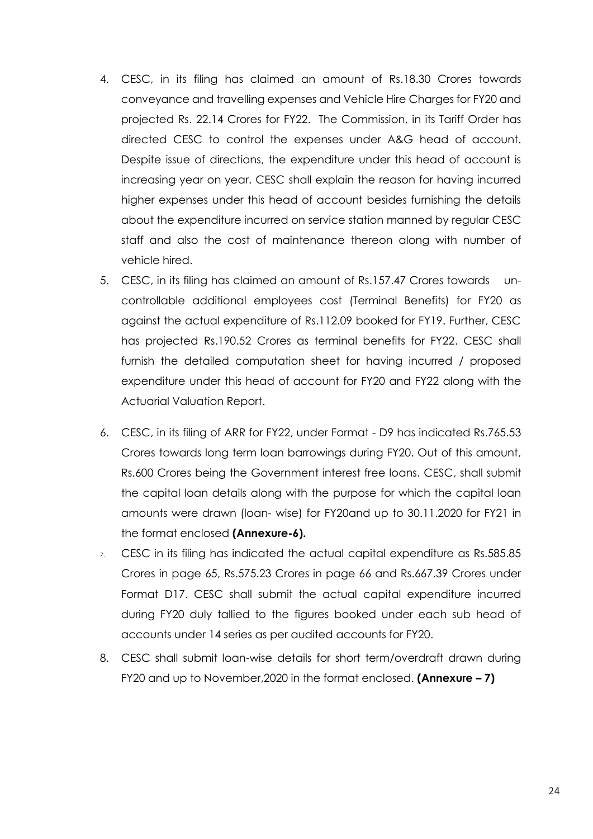- 4. CESC, in its filing has claimed an amount of Rs.18.30 Crores towards conveyance and travelling expenses and Vehicle Hire Charges for FY20 and projected Rs. 22.14 Crores for FY22. The Commission, in its Tariff Order has directed CESC to control the expenses under A&G head of account. Despite issue of directions, the expenditure under this head of account is increasing year on year. CESC shall explain the reason for having incurred higher expenses under this head of account besides furnishing the details about the expenditure incurred on service station manned by regular CESC staff and also the cost of maintenance thereon along with number of vehicle hired.
- 5. CESC, in its filing has claimed an amount of Rs.157.47 Crores towards uncontrollable additional employees cost (Terminal Benefits) for FY20 as against the actual expenditure of Rs.112.09 booked for FY19. Further, CESC has projected Rs.190.52 Crores as terminal benefits for FY22. CESC shall furnish the detailed computation sheet for having incurred / proposed expenditure under this head of account for FY20 and FY22 along with the Actuarial Valuation Report.
- 6. CESC, in its filing of ARR for FY22, under Format D9 has indicated Rs.765.53 Crores towards long term loan barrowings during FY20. Out of this amount, Rs.600 Crores being the Government interest free loans. CESC, shall submit the capital loan details along with the purpose for which the capital loan amounts were drawn (loan- wise) for FY20and up to 30.11.2020 for FY21 in the format enclosed **(Annexure-6).**
- 7. CESC in its filing has indicated the actual capital expenditure as Rs.585.85 Crores in page 65, Rs.575.23 Crores in page 66 and Rs.667.39 Crores under Format D17. CESC shall submit the actual capital expenditure incurred during FY20 duly tallied to the figures booked under each sub head of accounts under 14 series as per audited accounts for FY20.
- 8. CESC shall submit loan-wise details for short term/overdraft drawn during FY20 and up to November,2020 in the format enclosed. **(Annexure – 7)**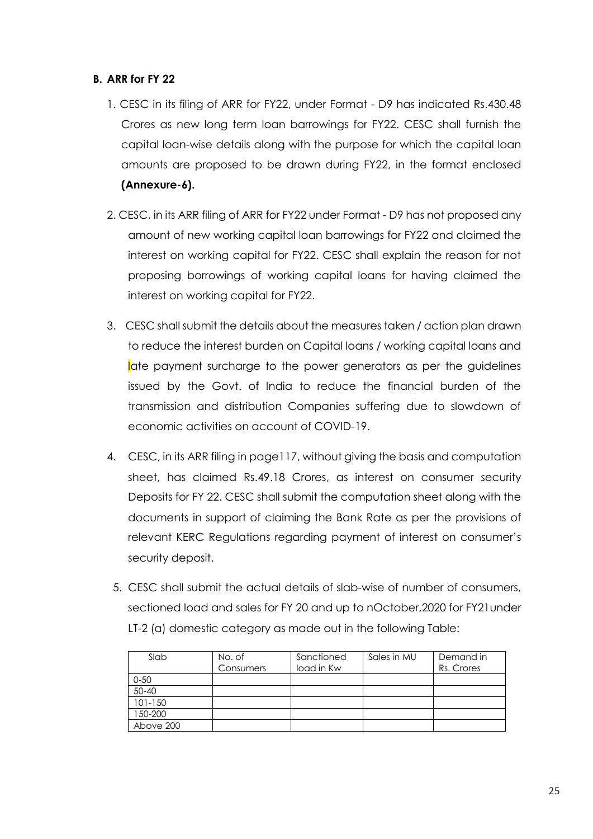#### **B. ARR for FY 22**

- 1. CESC in its filing of ARR for FY22, under Format D9 has indicated Rs.430.48 Crores as new long term loan barrowings for FY22. CESC shall furnish the capital loan-wise details along with the purpose for which the capital loan amounts are proposed to be drawn during FY22, in the format enclosed **(Annexure-6).**
- 2. CESC, in its ARR filing of ARR for FY22 under Format D9 has not proposed any amount of new working capital loan barrowings for FY22 and claimed the interest on working capital for FY22. CESC shall explain the reason for not proposing borrowings of working capital loans for having claimed the interest on working capital for FY22.
- 3. CESC shall submit the details about the measures taken / action plan drawn to reduce the interest burden on Capital loans / working capital loans and late payment surcharge to the power generators as per the guidelines issued by the Govt. of India to reduce the financial burden of the transmission and distribution Companies suffering due to slowdown of economic activities on account of COVID-19.
- 4. CESC, in its ARR filing in page117, without giving the basis and computation sheet, has claimed Rs.49.18 Crores, as interest on consumer security Deposits for FY 22. CESC shall submit the computation sheet along with the documents in support of claiming the Bank Rate as per the provisions of relevant KERC Regulations regarding payment of interest on consumer's security deposit.
- 5. CESC shall submit the actual details of slab-wise of number of consumers, sectioned load and sales for FY 20 and up to nOctober,2020 for FY21under LT-2 (a) domestic category as made out in the following Table:

| Slab        | No. of<br>Consumers | Sanctioned<br>load in Kw | Sales in MU | Demand in<br>Rs. Crores |
|-------------|---------------------|--------------------------|-------------|-------------------------|
| $0 - 50$    |                     |                          |             |                         |
| 50-40       |                     |                          |             |                         |
| $101 - 150$ |                     |                          |             |                         |
| 150-200     |                     |                          |             |                         |
| Above 200   |                     |                          |             |                         |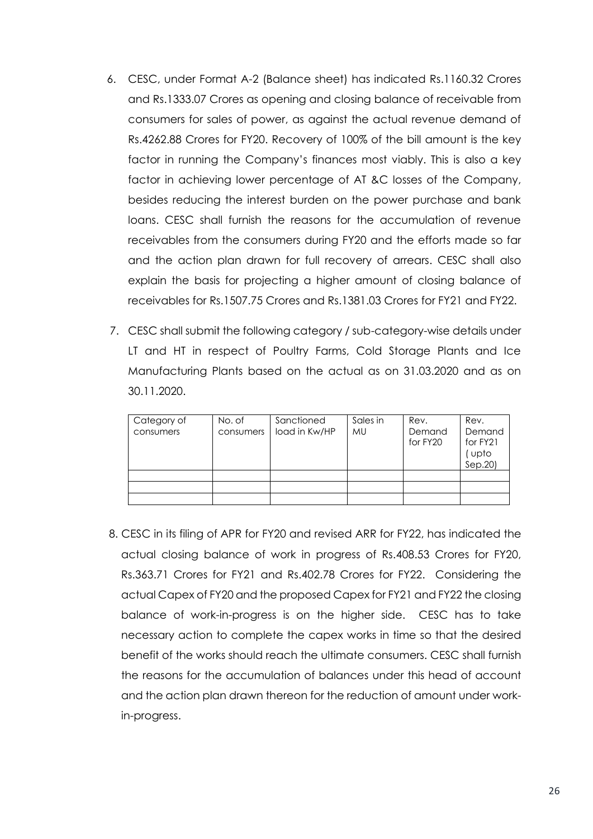- 6. CESC, under Format A-2 (Balance sheet) has indicated Rs.1160.32 Crores and Rs.1333.07 Crores as opening and closing balance of receivable from consumers for sales of power, as against the actual revenue demand of Rs.4262.88 Crores for FY20. Recovery of 100% of the bill amount is the key factor in running the Company's finances most viably. This is also a key factor in achieving lower percentage of AT &C losses of the Company, besides reducing the interest burden on the power purchase and bank loans. CESC shall furnish the reasons for the accumulation of revenue receivables from the consumers during FY20 and the efforts made so far and the action plan drawn for full recovery of arrears. CESC shall also explain the basis for projecting a higher amount of closing balance of receivables for Rs.1507.75 Crores and Rs.1381.03 Crores for FY21 and FY22.
- 7. CESC shall submit the following category / sub-category-wise details under LT and HT in respect of Poultry Farms, Cold Storage Plants and Ice Manufacturing Plants based on the actual as on 31.03.2020 and as on 30.11.2020.

| Category of<br>consumers | No. of<br>consumers | Sanctioned<br>load in Kw/HP | Sales in<br><b>MU</b> | Rev.<br>Demand<br>for FY20 | Rev.<br>Demand<br>for FY21<br>(upto<br>Sep.20) |
|--------------------------|---------------------|-----------------------------|-----------------------|----------------------------|------------------------------------------------|
|                          |                     |                             |                       |                            |                                                |
|                          |                     |                             |                       |                            |                                                |
|                          |                     |                             |                       |                            |                                                |

 8. CESC in its filing of APR for FY20 and revised ARR for FY22, has indicated the actual closing balance of work in progress of Rs.408.53 Crores for FY20, Rs.363.71 Crores for FY21 and Rs.402.78 Crores for FY22. Considering the actual Capex of FY20 and the proposed Capex for FY21 and FY22 the closing balance of work-in-progress is on the higher side. CESC has to take necessary action to complete the capex works in time so that the desired benefit of the works should reach the ultimate consumers. CESC shall furnish the reasons for the accumulation of balances under this head of account and the action plan drawn thereon for the reduction of amount under workin-progress.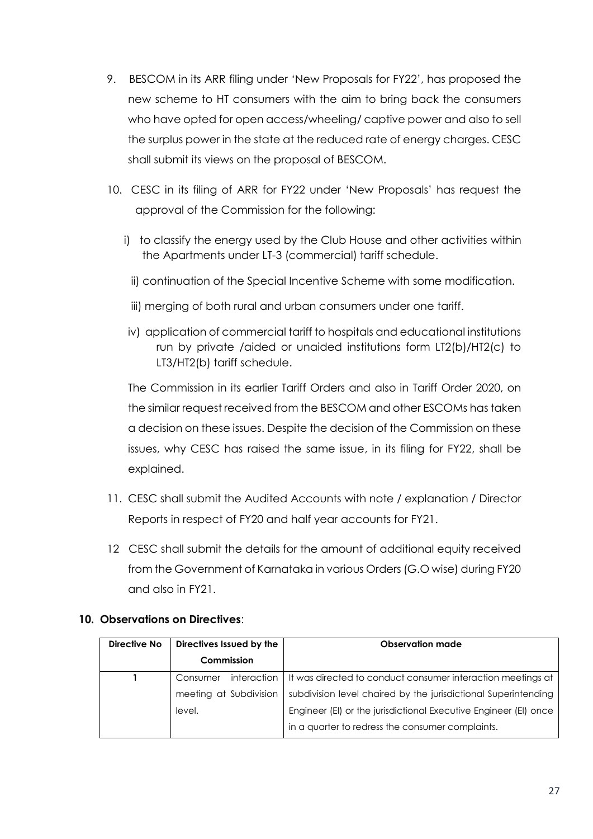- 9. BESCOM in its ARR filing under 'New Proposals for FY22', has proposed the new scheme to HT consumers with the aim to bring back the consumers who have opted for open access/wheeling/ captive power and also to sell the surplus power in the state at the reduced rate of energy charges. CESC shall submit its views on the proposal of BESCOM.
- 10. CESC in its filing of ARR for FY22 under 'New Proposals' has request the approval of the Commission for the following:
	- i) to classify the energy used by the Club House and other activities within the Apartments under LT-3 (commercial) tariff schedule.
		- ii) continuation of the Special Incentive Scheme with some modification.
		- iii) merging of both rural and urban consumers under one tariff.
	- iv) application of commercial tariff to hospitals and educational institutions run by private /aided or unaided institutions form LT2(b)/HT2(c) to LT3/HT2(b) tariff schedule.

The Commission in its earlier Tariff Orders and also in Tariff Order 2020, on the similar request received from the BESCOM and other ESCOMs has taken a decision on these issues. Despite the decision of the Commission on these issues, why CESC has raised the same issue, in its filing for FY22, shall be explained.

- 11. CESC shall submit the Audited Accounts with note / explanation / Director Reports in respect of FY20 and half year accounts for FY21.
- 12 CESC shall submit the details for the amount of additional equity received from the Government of Karnataka in various Orders (G.O wise) during FY20 and also in FY21.

## **10. Observations on Directives**:

| Directive No | Directives Issued by the | <b>Observation made</b>                                          |
|--------------|--------------------------|------------------------------------------------------------------|
|              | Commission               |                                                                  |
|              | interaction<br>Consumer  | It was directed to conduct consumer interaction meetings at      |
|              | meeting at Subdivision   | subdivision level chaired by the jurisdictional Superintending   |
|              | level.                   | Engineer (EI) or the jurisdictional Executive Engineer (EI) once |
|              |                          | in a quarter to redress the consumer complaints.                 |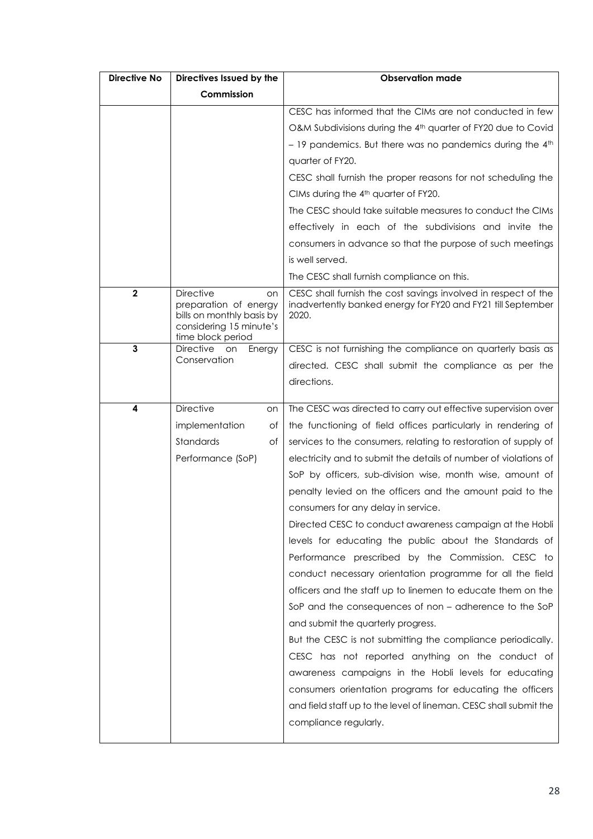| <b>Directive No</b> | Directives Issued by the                                                                                                     | <b>Observation made</b>                                                                                                                 |  |  |  |
|---------------------|------------------------------------------------------------------------------------------------------------------------------|-----------------------------------------------------------------------------------------------------------------------------------------|--|--|--|
|                     | Commission                                                                                                                   |                                                                                                                                         |  |  |  |
|                     |                                                                                                                              | CESC has informed that the CIMs are not conducted in few                                                                                |  |  |  |
|                     |                                                                                                                              | O&M Subdivisions during the 4 <sup>th</sup> quarter of FY20 due to Covid                                                                |  |  |  |
|                     |                                                                                                                              | $-19$ pandemics. But there was no pandemics during the 4th                                                                              |  |  |  |
|                     |                                                                                                                              | quarter of FY20.                                                                                                                        |  |  |  |
|                     |                                                                                                                              | CESC shall furnish the proper reasons for not scheduling the                                                                            |  |  |  |
|                     |                                                                                                                              | CIMs during the 4 <sup>th</sup> quarter of FY20.                                                                                        |  |  |  |
|                     |                                                                                                                              | The CESC should take suitable measures to conduct the CIMs                                                                              |  |  |  |
|                     |                                                                                                                              | effectively in each of the subdivisions and invite the                                                                                  |  |  |  |
|                     |                                                                                                                              | consumers in advance so that the purpose of such meetings                                                                               |  |  |  |
|                     |                                                                                                                              | is well served.                                                                                                                         |  |  |  |
|                     |                                                                                                                              | The CESC shall furnish compliance on this.                                                                                              |  |  |  |
| $\mathbf{2}$        | <b>Directive</b><br>on<br>preparation of energy<br>bills on monthly basis by<br>considering 15 minute's<br>time block period | CESC shall furnish the cost savings involved in respect of the<br>inadvertently banked energy for FY20 and FY21 till September<br>2020. |  |  |  |
| $\mathbf{3}$        | <b>Directive</b><br>Energy<br>on                                                                                             | CESC is not furnishing the compliance on quarterly basis as                                                                             |  |  |  |
|                     | Conservation                                                                                                                 | directed. CESC shall submit the compliance as per the                                                                                   |  |  |  |
|                     |                                                                                                                              | directions.                                                                                                                             |  |  |  |
| 4                   | <b>Directive</b><br>on                                                                                                       | The CESC was directed to carry out effective supervision over                                                                           |  |  |  |
|                     | implementation<br>оt                                                                                                         | the functioning of field offices particularly in rendering of                                                                           |  |  |  |
|                     | Standards<br>Оf                                                                                                              | services to the consumers, relating to restoration of supply of                                                                         |  |  |  |
|                     | Performance (SoP)                                                                                                            | electricity and to submit the details of number of violations of                                                                        |  |  |  |
|                     |                                                                                                                              | SoP by officers, sub-division wise, month wise, amount of                                                                               |  |  |  |
|                     |                                                                                                                              | penalty levied on the officers and the amount paid to the                                                                               |  |  |  |
|                     |                                                                                                                              | consumers for any delay in service.                                                                                                     |  |  |  |
|                     |                                                                                                                              | Directed CESC to conduct awareness campaign at the Hobli                                                                                |  |  |  |
|                     |                                                                                                                              | levels for educating the public about the Standards of                                                                                  |  |  |  |
|                     |                                                                                                                              | Performance prescribed by the Commission. CESC to                                                                                       |  |  |  |
|                     |                                                                                                                              | conduct necessary orientation programme for all the field                                                                               |  |  |  |
|                     |                                                                                                                              | officers and the staff up to linemen to educate them on the                                                                             |  |  |  |
|                     |                                                                                                                              | SoP and the consequences of non – adherence to the SoP                                                                                  |  |  |  |
|                     |                                                                                                                              | and submit the quarterly progress.                                                                                                      |  |  |  |
|                     |                                                                                                                              | But the CESC is not submitting the compliance periodically.                                                                             |  |  |  |
|                     |                                                                                                                              | CESC has not reported anything on the conduct of                                                                                        |  |  |  |
|                     |                                                                                                                              | awareness campaigns in the Hobli levels for educating                                                                                   |  |  |  |
|                     |                                                                                                                              | consumers orientation programs for educating the officers                                                                               |  |  |  |
|                     |                                                                                                                              | and field staff up to the level of lineman. CESC shall submit the                                                                       |  |  |  |
|                     |                                                                                                                              | compliance regularly.                                                                                                                   |  |  |  |
|                     |                                                                                                                              |                                                                                                                                         |  |  |  |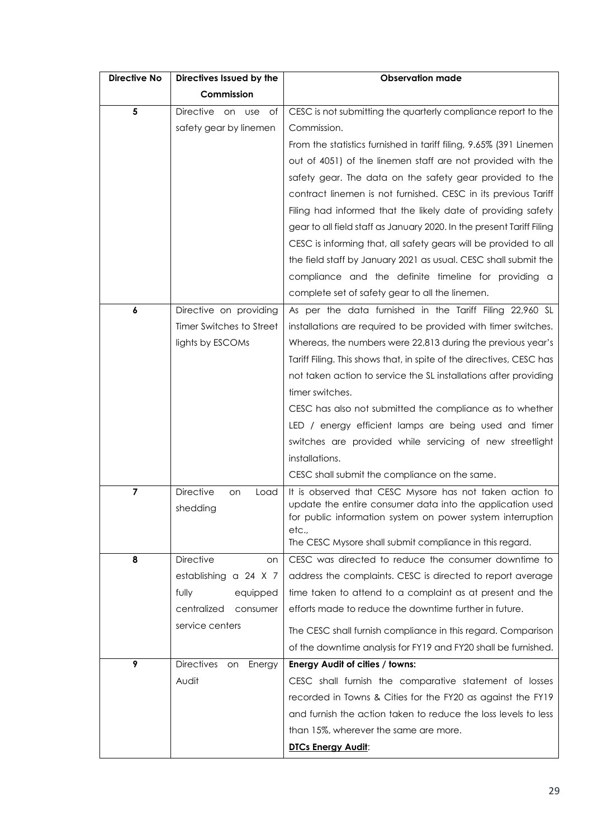| Directive No   | Directives Issued by the                   | <b>Observation made</b>                                                                                                                                                            |  |  |  |
|----------------|--------------------------------------------|------------------------------------------------------------------------------------------------------------------------------------------------------------------------------------|--|--|--|
|                | Commission                                 |                                                                                                                                                                                    |  |  |  |
| 5              | Directive on<br><b>use</b><br>Οf           | CESC is not submitting the quarterly compliance report to the                                                                                                                      |  |  |  |
|                | safety gear by linemen                     | Commission.                                                                                                                                                                        |  |  |  |
|                |                                            | From the statistics furnished in tariff filing, 9.65% (391 Linemen                                                                                                                 |  |  |  |
|                |                                            | out of 4051) of the linemen staff are not provided with the                                                                                                                        |  |  |  |
|                |                                            | safety gear. The data on the safety gear provided to the                                                                                                                           |  |  |  |
|                |                                            | contract linemen is not furnished. CESC in its previous Tariff                                                                                                                     |  |  |  |
|                |                                            | Filing had informed that the likely date of providing safety                                                                                                                       |  |  |  |
|                |                                            | gear to all field staff as January 2020. In the present Tariff Filing                                                                                                              |  |  |  |
|                |                                            | CESC is informing that, all safety gears will be provided to all                                                                                                                   |  |  |  |
|                |                                            | the field staff by January 2021 as usual. CESC shall submit the                                                                                                                    |  |  |  |
|                |                                            | compliance and the definite timeline for providing a                                                                                                                               |  |  |  |
|                |                                            | complete set of safety gear to all the linemen.                                                                                                                                    |  |  |  |
| 6              | Directive on providing                     | As per the data furnished in the Tariff Filing 22,960 SL                                                                                                                           |  |  |  |
|                | Timer Switches to Street                   | installations are required to be provided with timer switches.                                                                                                                     |  |  |  |
|                | lights by ESCOMs                           | Whereas, the numbers were 22,813 during the previous year's                                                                                                                        |  |  |  |
|                |                                            | Tariff Filing. This shows that, in spite of the directives, CESC has                                                                                                               |  |  |  |
|                |                                            | not taken action to service the SL installations after providing                                                                                                                   |  |  |  |
|                |                                            | timer switches.                                                                                                                                                                    |  |  |  |
|                |                                            | CESC has also not submitted the compliance as to whether                                                                                                                           |  |  |  |
|                |                                            | LED / energy efficient lamps are being used and timer                                                                                                                              |  |  |  |
|                |                                            | switches are provided while servicing of new streetlight                                                                                                                           |  |  |  |
|                |                                            | installations.                                                                                                                                                                     |  |  |  |
|                |                                            | CESC shall submit the compliance on the same.                                                                                                                                      |  |  |  |
| $\overline{7}$ | <b>Directive</b><br>Load<br>on<br>shedding | It is observed that CESC Mysore has not taken action to<br>update the entire consumer data into the application used<br>for public information system on power system interruption |  |  |  |
|                |                                            | etc.,<br>The CESC Mysore shall submit compliance in this regard.                                                                                                                   |  |  |  |
| 8              | <b>Directive</b><br>on                     | CESC was directed to reduce the consumer downtime to                                                                                                                               |  |  |  |
|                | establishing a 24 X 7                      | address the complaints. CESC is directed to report average                                                                                                                         |  |  |  |
|                | fully<br>equipped                          | time taken to attend to a complaint as at present and the                                                                                                                          |  |  |  |
|                | centralized<br>consumer                    | efforts made to reduce the downtime further in future.                                                                                                                             |  |  |  |
|                | service centers                            |                                                                                                                                                                                    |  |  |  |
|                |                                            | The CESC shall furnish compliance in this regard. Comparison                                                                                                                       |  |  |  |
|                |                                            | of the downtime analysis for FY19 and FY20 shall be furnished.                                                                                                                     |  |  |  |
| 9              | <b>Directives</b><br>Energy<br>on          | Energy Audit of cities / towns:                                                                                                                                                    |  |  |  |
|                | Audit                                      | CESC shall furnish the comparative statement of losses                                                                                                                             |  |  |  |
|                |                                            | recorded in Towns & Cities for the FY20 as against the FY19                                                                                                                        |  |  |  |
|                |                                            | and furnish the action taken to reduce the loss levels to less                                                                                                                     |  |  |  |
|                |                                            | than 15%, wherever the same are more.                                                                                                                                              |  |  |  |
|                |                                            | <b>DTCs Energy Audit:</b>                                                                                                                                                          |  |  |  |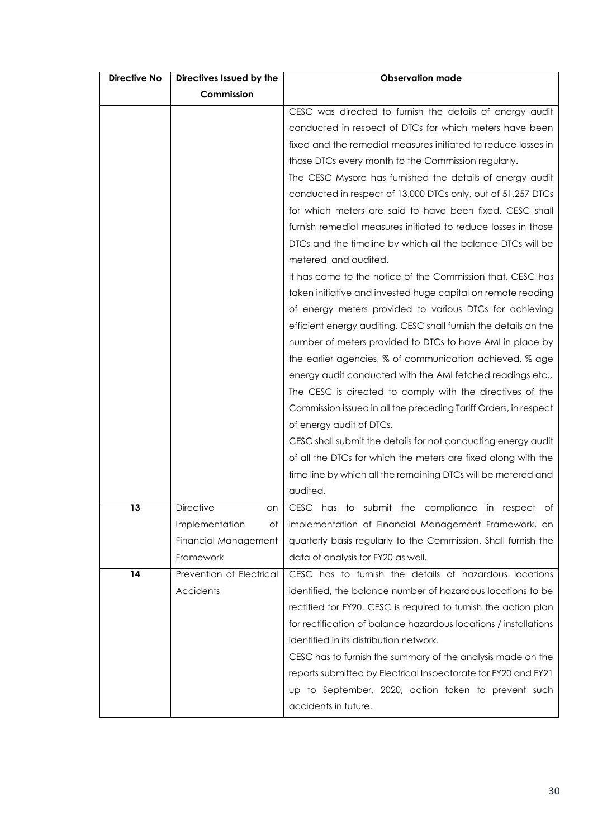| <b>Directive No</b> | Directives Issued by the | <b>Observation made</b>                                          |  |  |  |  |
|---------------------|--------------------------|------------------------------------------------------------------|--|--|--|--|
|                     | Commission               |                                                                  |  |  |  |  |
|                     |                          | CESC was directed to furnish the details of energy audit         |  |  |  |  |
|                     |                          | conducted in respect of DTCs for which meters have been          |  |  |  |  |
|                     |                          | fixed and the remedial measures initiated to reduce losses in    |  |  |  |  |
|                     |                          | those DTCs every month to the Commission regularly.              |  |  |  |  |
|                     |                          | The CESC Mysore has furnished the details of energy audit        |  |  |  |  |
|                     |                          | conducted in respect of 13,000 DTCs only, out of 51,257 DTCs     |  |  |  |  |
|                     |                          | for which meters are said to have been fixed. CESC shall         |  |  |  |  |
|                     |                          | furnish remedial measures initiated to reduce losses in those    |  |  |  |  |
|                     |                          | DTCs and the timeline by which all the balance DTCs will be      |  |  |  |  |
|                     |                          | metered, and audited.                                            |  |  |  |  |
|                     |                          | It has come to the notice of the Commission that, CESC has       |  |  |  |  |
|                     |                          | taken initiative and invested huge capital on remote reading     |  |  |  |  |
|                     |                          | of energy meters provided to various DTCs for achieving          |  |  |  |  |
|                     |                          | efficient energy auditing. CESC shall furnish the details on the |  |  |  |  |
|                     |                          | number of meters provided to DTCs to have AMI in place by        |  |  |  |  |
|                     |                          | the earlier agencies, % of communication achieved, % age         |  |  |  |  |
|                     |                          | energy audit conducted with the AMI fetched readings etc.,       |  |  |  |  |
|                     |                          | The CESC is directed to comply with the directives of the        |  |  |  |  |
|                     |                          | Commission issued in all the preceding Tariff Orders, in respect |  |  |  |  |
|                     |                          | of energy audit of DTCs.                                         |  |  |  |  |
|                     |                          | CESC shall submit the details for not conducting energy audit    |  |  |  |  |
|                     |                          | of all the DTCs for which the meters are fixed along with the    |  |  |  |  |
|                     |                          | time line by which all the remaining DTCs will be metered and    |  |  |  |  |
|                     |                          | audited.                                                         |  |  |  |  |
| 13                  | <b>Directive</b><br>on   | CESC has to submit the compliance in respect of                  |  |  |  |  |
|                     | Implementation<br>Оf     | implementation of Financial Management Framework, on             |  |  |  |  |
|                     | Financial Management     | quarterly basis regularly to the Commission. Shall furnish the   |  |  |  |  |
|                     | Framework                | data of analysis for FY20 as well.                               |  |  |  |  |
| 14                  | Prevention of Electrical | CESC has to furnish the details of hazardous locations           |  |  |  |  |
|                     | Accidents                | identified, the balance number of hazardous locations to be      |  |  |  |  |
|                     |                          | rectified for FY20. CESC is required to furnish the action plan  |  |  |  |  |
|                     |                          | for rectification of balance hazardous locations / installations |  |  |  |  |
|                     |                          | identified in its distribution network.                          |  |  |  |  |
|                     |                          | CESC has to furnish the summary of the analysis made on the      |  |  |  |  |
|                     |                          | reports submitted by Electrical Inspectorate for FY20 and FY21   |  |  |  |  |
|                     |                          | up to September, 2020, action taken to prevent such              |  |  |  |  |
|                     |                          | accidents in future.                                             |  |  |  |  |